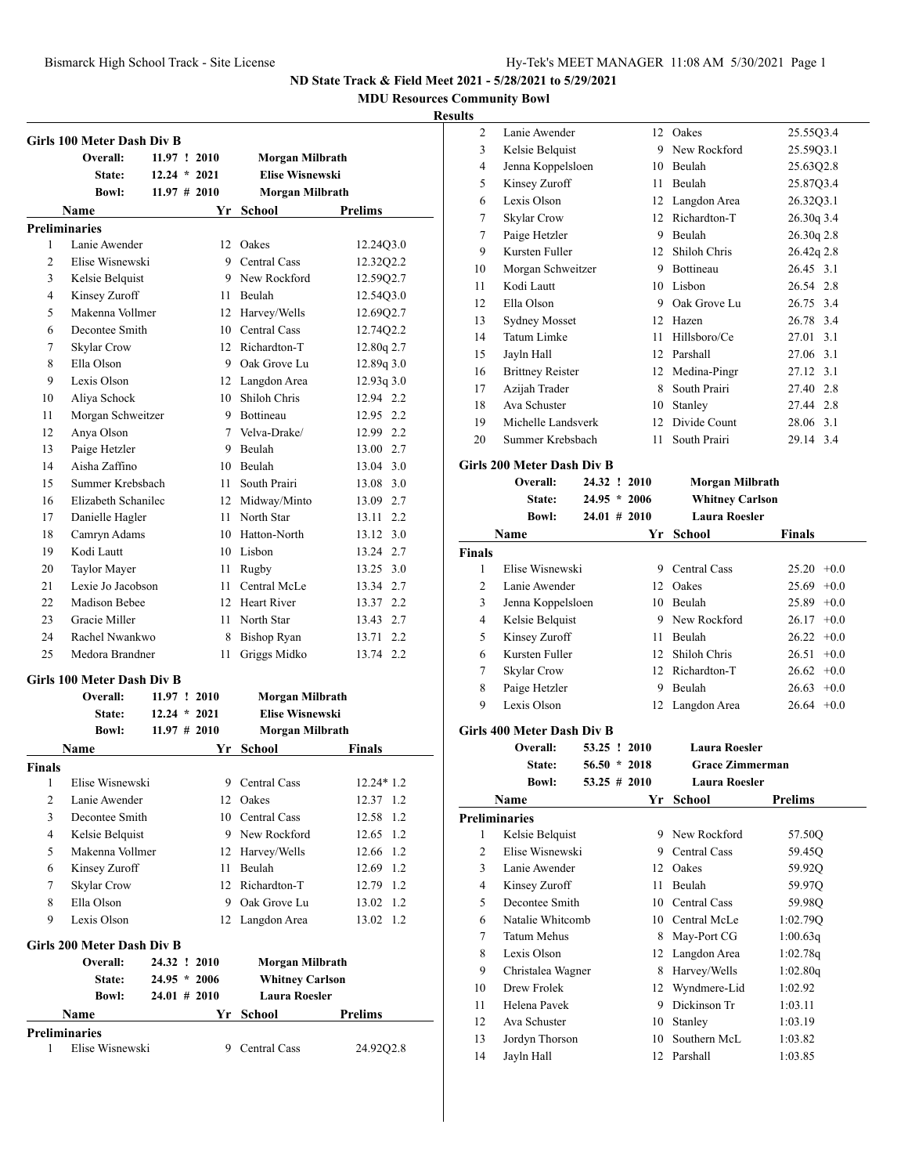**MDU Resources Community Bowl**

### **Results**

|                | Girls 100 Meter Dash Div B        |                 |    |                        |                |
|----------------|-----------------------------------|-----------------|----|------------------------|----------------|
|                | Overall:                          | 11.97 : 2010    |    | Morgan Milbrath        |                |
|                | State:                            | $12.24 * 2021$  |    | <b>Elise Wisnewski</b> |                |
|                | <b>Bowl:</b>                      | $11.97 \# 2010$ |    | Morgan Milbrath        |                |
|                | Name                              |                 |    | Yr School              | <b>Prelims</b> |
|                | <b>Preliminaries</b>              |                 |    |                        |                |
| 1              | Lanie Awender                     |                 |    | 12 Oakes               | 12.24Q3.0      |
| $\overline{c}$ | Elise Wisnewski                   |                 |    | 9 Central Cass         | 12.32Q2.2      |
| 3              | Kelsie Belquist                   |                 |    | 9 New Rockford         | 12.59Q2.7      |
| 4              | Kinsey Zuroff                     |                 |    | 11 Beulah              | 12.54Q3.0      |
| 5              | Makenna Vollmer                   |                 |    | 12 Harvey/Wells        | 12.69Q2.7      |
| 6              | Decontee Smith                    |                 |    | 10 Central Cass        | 12.74Q2.2      |
| 7              |                                   |                 |    | 12 Richardton-T        |                |
|                | Skylar Crow                       |                 |    |                        | 12.80q 2.7     |
| 8              | Ella Olson                        |                 |    | 9 Oak Grove Lu         | 12.89q 3.0     |
| 9              | Lexis Olson                       |                 |    | 12 Langdon Area        | 12.93q3.0      |
| 10             | Aliya Schock                      |                 |    | 10 Shiloh Chris        | 12.94 2.2      |
| 11             | Morgan Schweitzer                 |                 |    | 9 Rottineau            | 12.95 2.2      |
| 12             | Anya Olson                        |                 |    | 7 Velva-Drake/         | 12.99 2.2      |
| 13             | Paige Hetzler                     |                 |    | 9 Beulah               | 13.00 2.7      |
| 14             | Aisha Zaffino                     |                 |    | 10 Beulah              | 13.04 3.0      |
| 15             | Summer Krebsbach                  |                 |    | 11 South Prairi        | 13.08 3.0      |
| 16             | Elizabeth Schanilec               |                 |    | 12 Midway/Minto        | 13.09 2.7      |
| 17             | Danielle Hagler                   |                 |    | 11 North Star          | 13.11 2.2      |
| 18             | Camryn Adams                      |                 |    | 10 Hatton-North        | 13.12 3.0      |
| 19             | Kodi Lautt                        |                 |    | 10 Lisbon              | 13.24 2.7      |
| 20             | Taylor Mayer                      |                 |    | 11 Rugby               | 13.25 3.0      |
| 21             | Lexie Jo Jacobson                 |                 |    | 11 Central McLe        | 13.34 2.7      |
| 22             | Madison Bebee                     |                 |    | 12 Heart River         | 13.37 2.2      |
| 23             | Gracie Miller                     |                 |    | 11 North Star          | 13.43 2.7      |
| 24             | Rachel Nwankwo                    |                 |    | 8 Bishop Ryan          | 13.71 2.2      |
| 25             | Medora Brandner                   |                 | 11 | Griggs Midko           | 13.74 2.2      |
|                | <b>Girls 100 Meter Dash Div B</b> |                 |    |                        |                |
|                | Overall:                          | 11.97 : 2010    |    | Morgan Milbrath        |                |
|                | State:                            | $12.24 * 2021$  |    | <b>Elise Wisnewski</b> |                |
|                | <b>Bowl:</b>                      | $11.97 \# 2010$ |    | Morgan Milbrath        |                |
|                | Name                              |                 | Yr | <b>School</b>          | <b>Finals</b>  |
| <b>Finals</b>  |                                   |                 |    |                        |                |
| $\mathbf{1}$   | Elise Wisnewski                   |                 |    | 9 Central Cass         | $12.24*1.2$    |
| 2              | Lanie Awender                     |                 |    | 12 Oakes               | 12.37 1.2      |
| 3              | Decontee Smith                    |                 |    | 10 Central Cass        | 12.58<br>1.2   |
| 4              | Kelsie Belquist                   |                 |    | 9 New Rockford         | 12.65<br>1.2   |
| 5              | Makenna Vollmer                   |                 |    | 12 Harvey/Wells        | 12.66 1.2      |
| 6              | Kinsey Zuroff                     |                 |    | 11 Beulah              | 12.69 1.2      |
| 7              | Skylar Crow                       |                 |    | 12 Richardton-T        | 12.79 1.2      |
| 8              | Ella Olson                        |                 |    | 9 Oak Grove Lu         | 1.2<br>13.02   |
| 9              | Lexis Olson                       |                 |    | 12 Langdon Area        | 1.2<br>13.02   |
|                | Girls 200 Meter Dash Div B        |                 |    |                        |                |
|                | Overall:                          | 24.32 ! 2010    |    | <b>Morgan Milbrath</b> |                |
|                | <b>State:</b>                     | $24.95 * 2006$  |    | <b>Whitney Carlson</b> |                |
|                | <b>Bowl:</b>                      | 24.01 # 2010    |    | <b>Laura Roesler</b>   |                |
|                | Name                              |                 | Yr | School                 | <b>Prelims</b> |
|                | <b>Preliminaries</b>              |                 |    |                        |                |
| 1              | Elise Wisnewski                   |                 |    | 9 Central Cass         | 24.92Q2.8      |

| s              |                         |    |              |                |
|----------------|-------------------------|----|--------------|----------------|
| $\overline{2}$ | Lanie Awender           |    | 12 Oakes     | 25.55Q3.4      |
| 3              | Kelsie Belquist         | 9  | New Rockford | 25.59Q3.1      |
| 4              | Jenna Koppelsloen       | 10 | Beulah       | 25.63Q2.8      |
| 5              | Kinsey Zuroff           | 11 | Beulah       | 25.87Q3.4      |
| 6              | Lexis Olson             | 12 | Langdon Area | 26.32Q3.1      |
| 7              | Skylar Crow             | 12 | Richardton-T | 26.30q 3.4     |
| 7              | Paige Hetzler           | 9  | Beulah       | $26.30q$ $2.8$ |
| 9              | Kursten Fuller          | 12 | Shiloh Chris | 26.42q 2.8     |
| 10             | Morgan Schweitzer       | 9  | Bottineau    | 26.45 3.1      |
| 11             | Kodi Lautt              | 10 | Lisbon       | 26.54 2.8      |
| 12             | Ella Olson              | 9  | Oak Grove Lu | 26.75 3.4      |
| 13             | <b>Sydney Mosset</b>    | 12 | Hazen        | 26.78 3.4      |
| 14             | Tatum Limke             | 11 | Hillsboro/Ce | 27.01<br>3.1   |
| 15             | Jayln Hall              | 12 | Parshall     | 27.06 3.1      |
| 16             | <b>Brittney Reister</b> | 12 | Medina-Pingr | 27.12 3.1      |
| 17             | Azijah Trader           | 8  | South Prairi | 27.40 2.8      |
| 18             | Ava Schuster            | 10 | Stanley      | 27.44 2.8      |
| 19             | Michelle Landsverk      | 12 | Divide Count | 28.06 3.1      |
| 20             | Summer Krebsbach        | 11 | South Prairi | 29.14 3.4      |
|                |                         |    |              |                |

## **Girls 200 Meter Dash Div B**

|                | Overall:                          | 24.32 ! 2010    |     | Morgan Milbrath        |                 |
|----------------|-----------------------------------|-----------------|-----|------------------------|-----------------|
|                | State:                            | $24.95 * 2006$  |     | <b>Whitney Carlson</b> |                 |
|                | <b>Bowl:</b>                      | $24.01 \# 2010$ |     | <b>Laura Roesler</b>   |                 |
|                | Name                              |                 | Yr  | <b>School</b>          | <b>Finals</b>   |
| <b>Finals</b>  |                                   |                 |     |                        |                 |
| 1              | Elise Wisnewski                   |                 | 9   | Central Cass           | 25.20<br>$+0.0$ |
| $\overline{c}$ | Lanie Awender                     |                 | 12  | Oakes                  | 25.69<br>$+0.0$ |
| 3              | Jenna Koppelsloen                 |                 |     | 10 Beulah              | 25.89<br>$+0.0$ |
| 4              | Kelsie Belquist                   |                 |     | 9 New Rockford         | $+0.0$<br>26.17 |
| 5              | Kinsey Zuroff                     |                 |     | 11 Beulah              | 26.22<br>$+0.0$ |
| 6              | Kursten Fuller                    |                 |     | 12 Shiloh Chris        | 26.51<br>$+0.0$ |
| 7              | <b>Skylar Crow</b>                |                 |     | 12 Richardton-T        | 26.62<br>$+0.0$ |
| 8              | Paige Hetzler                     |                 | 9   | Beulah                 | 26.63<br>$+0.0$ |
| 9              | Lexis Olson                       |                 | 12  | Langdon Area           | $26.64$ +0.0    |
|                | <b>Girls 400 Meter Dash Div B</b> |                 |     |                        |                 |
|                | Overall:                          | 53.25 ! 2010    |     | <b>Laura Roesler</b>   |                 |
|                | State:                            | $56.50 * 2018$  |     | <b>Grace Zimmerman</b> |                 |
|                | <b>Bowl:</b>                      | 53.25 # 2010    |     | <b>Laura Roesler</b>   |                 |
|                | Name                              |                 | Yr  | School                 | <b>Prelims</b>  |
|                | <b>Preliminaries</b>              |                 |     |                        |                 |
| 1              | Kelsie Belquist                   |                 |     | 9 New Rockford         | 57.50Q          |
| $\overline{c}$ | Elise Wisnewski                   |                 |     | 9 Central Cass         | 59.45Q          |
| 3              | Lanie Awender                     |                 | 12  | Oakes                  | 59.92Q          |
| 4              | Kinsey Zuroff                     |                 | 11. | Beulah                 | 59.97Q          |
| 5              | Decontee Smith                    |                 |     | 10 Central Cass        | 59.98Q          |
| 6              | Natalie Whitcomb                  |                 |     | 10 Central McLe        | 1:02.79Q        |
| 7              | <b>Tatum Mehus</b>                |                 |     | 8 May-Port CG          | 1:00.63q        |
| 8              | Lexis Olson                       |                 |     | 12 Langdon Area        | 1:02.78q        |
| 9              | Christalea Wagner                 |                 | 8   | Harvey/Wells           | 1:02.80q        |
| 10             | Drew Frolek                       |                 | 12  | Wyndmere-Lid           | 1:02.92         |
| 11             | Helena Pavek                      |                 | 9.  | Dickinson Tr           | 1:03.11         |
| 12             | Ava Schuster                      |                 | 10  | Stanley                | 1:03.19         |
| 13             | Jordyn Thorson                    |                 | 10  | Southern McL           | 1:03.82         |
| 14             | Jayln Hall                        |                 | 12  | Parshall               | 1:03.85         |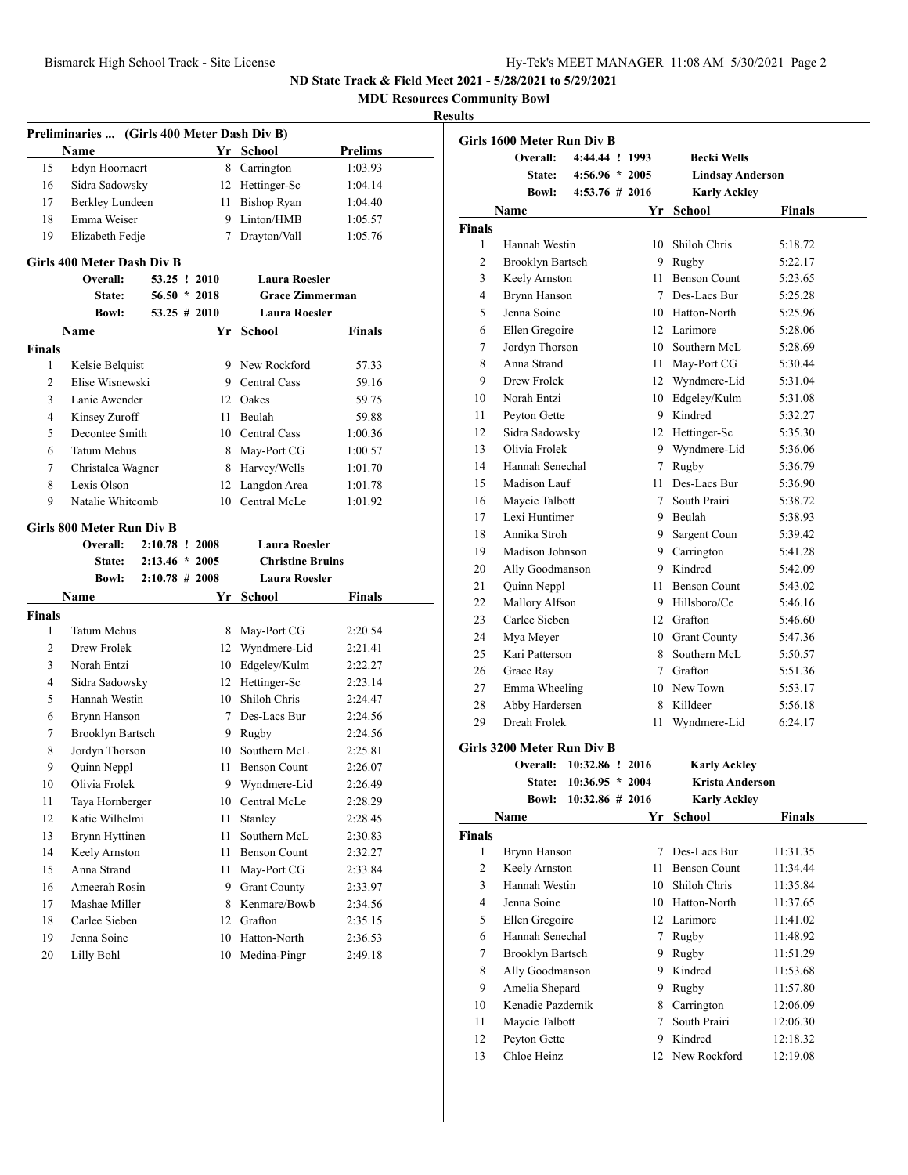**MDU Resources Community Bowl**

|                | Preliminaries  (Girls 400 Meter Dash Div B) |                   |                 |                              |                    |
|----------------|---------------------------------------------|-------------------|-----------------|------------------------------|--------------------|
|                | <b>Name</b>                                 |                   |                 | Yr School                    | <b>Prelims</b>     |
| 15             | Edyn Hoornaert                              |                   | 8               | Carrington                   | 1:03.93            |
| 16             | Sidra Sadowsky                              |                   |                 | 12 Hettinger-Sc              | 1:04.14            |
| 17             | Berkley Lundeen                             |                   | 11              | <b>Bishop Ryan</b>           | 1:04.40            |
| 18             | Emma Weiser                                 |                   | 9               | Linton/HMB                   | 1:05.57            |
| 19             | Elizabeth Fedje                             |                   | $7^{\circ}$     | Drayton/Vall                 | 1:05.76            |
|                |                                             |                   |                 |                              |                    |
|                | Girls 400 Meter Dash Div B                  |                   |                 |                              |                    |
|                | Overall:                                    |                   | 53.25 ! 2010    | <b>Laura Roesler</b>         |                    |
|                | State:                                      |                   | $56.50 * 2018$  | <b>Grace Zimmerman</b>       |                    |
|                | <b>Bowl:</b>                                |                   | $53.25 \# 2010$ | <b>Laura Roesler</b>         |                    |
|                | Name                                        |                   | Yr              | School                       | Finals             |
| <b>Finals</b>  |                                             |                   |                 |                              |                    |
| 1              | Kelsie Belquist                             |                   |                 | 9 New Rockford               | 57.33              |
| $\overline{c}$ | Elise Wisnewski                             |                   |                 | 9 Central Cass               | 59.16              |
| 3              | Lanie Awender                               |                   |                 | 12 Oakes                     | 59.75              |
| 4              | Kinsey Zuroff                               |                   | 11              | Beulah                       | 59.88              |
| 5              | Decontee Smith                              |                   |                 | 10 Central Cass              | 1:00.36            |
| 6              | <b>Tatum Mehus</b>                          |                   | 8               | May-Port CG                  | 1:00.57            |
| 7              | Christalea Wagner                           |                   | 8               | Harvey/Wells                 | 1:01.70            |
| 8              | Lexis Olson                                 |                   | 12              | Langdon Area                 | 1:01.78            |
| 9              | Natalie Whitcomb                            |                   | 10              | Central McLe                 | 1:01.92            |
|                | Girls 800 Meter Run Div B                   |                   |                 |                              |                    |
|                | Overall:                                    | 2:10.78 ! 2008    |                 | <b>Laura Roesler</b>         |                    |
|                | State:                                      | $2:13.46 * 2005$  |                 |                              |                    |
|                |                                             |                   |                 |                              |                    |
|                |                                             |                   |                 | <b>Christine Bruins</b>      |                    |
|                | <b>Bowl:</b>                                | $2:10.78 \# 2008$ |                 | <b>Laura Roesler</b>         |                    |
|                | Name                                        |                   | Yr              | School                       | Finals             |
| <b>Finals</b>  |                                             |                   |                 |                              |                    |
| 1              | <b>Tatum Mehus</b>                          |                   | 8               | May-Port CG                  | 2:20.54            |
| 2              | Drew Frolek                                 |                   |                 | 12 Wyndmere-Lid              | 2:21.41            |
| 3              | Norah Entzi                                 |                   |                 | 10 Edgeley/Kulm              | 2:22.27            |
| 4              | Sidra Sadowsky                              |                   | 12              | Hettinger-Sc                 | 2:23.14            |
| 5              | Hannah Westin                               |                   | 10              | Shiloh Chris                 | 2:24.47            |
| 6              | Brynn Hanson                                |                   |                 | 7 Des-Lacs Bur               | 2:24.56            |
| 7              | <b>Brooklyn Bartsch</b>                     |                   |                 | 9 Rugby                      | 2:24.56            |
| 8              | Jordyn Thorson                              |                   | 10              | Southern McL                 | 2:25.81            |
| 9              | Quinn Neppl                                 |                   | 11              | <b>Benson Count</b>          | 2:26.07            |
| 10             | Olivia Frolek                               |                   | 9               | Wyndmere-Lid                 | 2:26.49            |
| 11             | Taya Hornberger                             |                   | 10              | Central McLe                 | 2:28.29            |
| 12             | Katie Wilhelmi                              |                   | 11              | Stanley                      | 2:28.45            |
| 13             | Brynn Hyttinen                              |                   | 11              | Southern McL                 | 2:30.83            |
| 14             | Keely Arnston                               |                   | 11              | <b>Benson Count</b>          | 2:32.27            |
| 15             | Anna Strand                                 |                   | 11              | May-Port CG                  | 2:33.84            |
| 16             | Ameerah Rosin                               |                   | 9               | <b>Grant County</b>          | 2:33.97            |
| 17             | Mashae Miller                               |                   | 8               | Kenmare/Bowb                 | 2:34.56            |
| 18             | Carlee Sieben                               |                   | 12              | Grafton                      | 2:35.15            |
| 19<br>20       | Jenna Soine<br>Lilly Bohl                   |                   | 10<br>10        | Hatton-North<br>Medina-Pingr | 2:36.53<br>2:49.18 |

|                | Girls 1600 Meter Run Div B |                    |    |                         |          |
|----------------|----------------------------|--------------------|----|-------------------------|----------|
|                | Overall:                   | 4:44.44 ! 1993     |    | <b>Becki Wells</b>      |          |
|                | State:                     | $4:56.96 * 2005$   |    | <b>Lindsay Anderson</b> |          |
|                | <b>Bowl:</b>               | $4:53.76 \# 2016$  |    | <b>Karly Ackley</b>     |          |
|                | Name                       |                    | Yr | School                  | Finals   |
| Finals         |                            |                    |    |                         |          |
| 1              | Hannah Westin              |                    |    | 10 Shiloh Chris         | 5:18.72  |
| 2              | <b>Brooklyn Bartsch</b>    |                    |    | 9 Rugby                 | 5:22.17  |
| 3              | Keely Arnston              |                    |    | 11 Benson Count         | 5:23.65  |
| 4              | Brynn Hanson               |                    |    | 7 Des-Lacs Bur          | 5:25.28  |
| 5              | Jenna Soine                |                    |    | 10 Hatton-North         | 5:25.96  |
| 6              | Ellen Gregoire             |                    |    | 12 Larimore             | 5:28.06  |
| 7              | Jordyn Thorson             |                    |    | 10 Southern McL         | 5:28.69  |
| 8              | Anna Strand                |                    | 11 | May-Port CG             | 5:30.44  |
| 9              | Drew Frolek                |                    |    | 12 Wyndmere-Lid         | 5:31.04  |
| 10             | Norah Entzi                |                    | 10 | Edgeley/Kulm            | 5:31.08  |
| 11             | Peyton Gette               |                    |    | 9 Kindred               | 5:32.27  |
| 12             | Sidra Sadowsky             |                    |    | 12 Hettinger-Sc         | 5:35.30  |
| 13             | Olivia Frolek              |                    | 9  | Wyndmere-Lid            | 5:36.06  |
| 14             | Hannah Senechal            |                    | 7  | Rugby                   | 5:36.79  |
| 15             | Madison Lauf               |                    |    | 11 Des-Lacs Bur         | 5:36.90  |
| 16             | Maycie Talbott             |                    |    | 7 South Prairi          | 5:38.72  |
| 17             | Lexi Huntimer              |                    | 9  | Beulah                  | 5:38.93  |
| 18             | Annika Stroh               |                    |    | 9 Sargent Coun          | 5:39.42  |
| 19             | Madison Johnson            |                    |    | 9 Carrington            | 5:41.28  |
| 20             | Ally Goodmanson            |                    |    | 9 Kindred               | 5:42.09  |
| 21             | Quinn Neppl                |                    |    | 11 Benson Count         | 5:43.02  |
| 22             | Mallory Alfson             |                    |    | 9 Hillsboro/Ce          | 5:46.16  |
| 23             | Carlee Sieben              |                    |    | 12 Grafton              | 5:46.60  |
| 24             | Mya Meyer                  |                    |    | 10 Grant County         | 5:47.36  |
| 25             | Kari Patterson             |                    |    | 8 Southern McL          | 5:50.57  |
| 26             | Grace Ray                  |                    |    | 7 Grafton               | 5:51.36  |
| 27             | Emma Wheeling              |                    |    | 10 New Town             | 5:53.17  |
| 28             | Abby Hardersen             |                    |    | 8 Killdeer              | 5:56.18  |
| 29             | Dreah Frolek               |                    | 11 | Wyndmere-Lid            | 6:24.17  |
|                | Girls 3200 Meter Run Div B |                    |    |                         |          |
|                | Overall:                   | 10:32.86 ! 2016    |    | <b>Karly Ackley</b>     |          |
|                | State:                     | 10:36.95 * 2004    |    | Krista Anderson         |          |
|                | <b>Bowl:</b>               | $10:32.86 \# 2016$ |    | <b>Karly Ackley</b>     |          |
|                | Name                       |                    | Yr | School                  | Finals   |
| Finals         |                            |                    |    |                         |          |
| 1              | Brynn Hanson               |                    | 7  | Des-Lacs Bur            | 11:31.35 |
| $\overline{c}$ | Keely Arnston              |                    | 11 | <b>Benson Count</b>     | 11:34.44 |
| 3              | Hannah Westin              |                    | 10 | Shiloh Chris            | 11:35.84 |
| $\overline{4}$ | Jenna Soine                |                    | 10 | Hatton-North            | 11:37.65 |
| 5              | Ellen Gregoire             |                    |    | 12 Larimore             | 11:41.02 |
| 6              | Hannah Senechal            |                    | 7  | Rugby                   | 11:48.92 |
| 7              | <b>Brooklyn Bartsch</b>    |                    | 9  | Rugby                   | 11:51.29 |
| 8              | Ally Goodmanson            |                    | 9  | Kindred                 | 11:53.68 |
| 9              | Amelia Shepard             |                    | 9  | Rugby                   | 11:57.80 |
| 10             | Kenadie Pazdernik          |                    | 8  | Carrington              | 12:06.09 |
| 11             | Maycie Talbott             |                    | 7  | South Prairi            | 12:06.30 |
| 12             | Peyton Gette               |                    |    | 9 Kindred               | 12:18.32 |
| 13             | Chloe Heinz                |                    |    | 12 New Rockford         | 12:19.08 |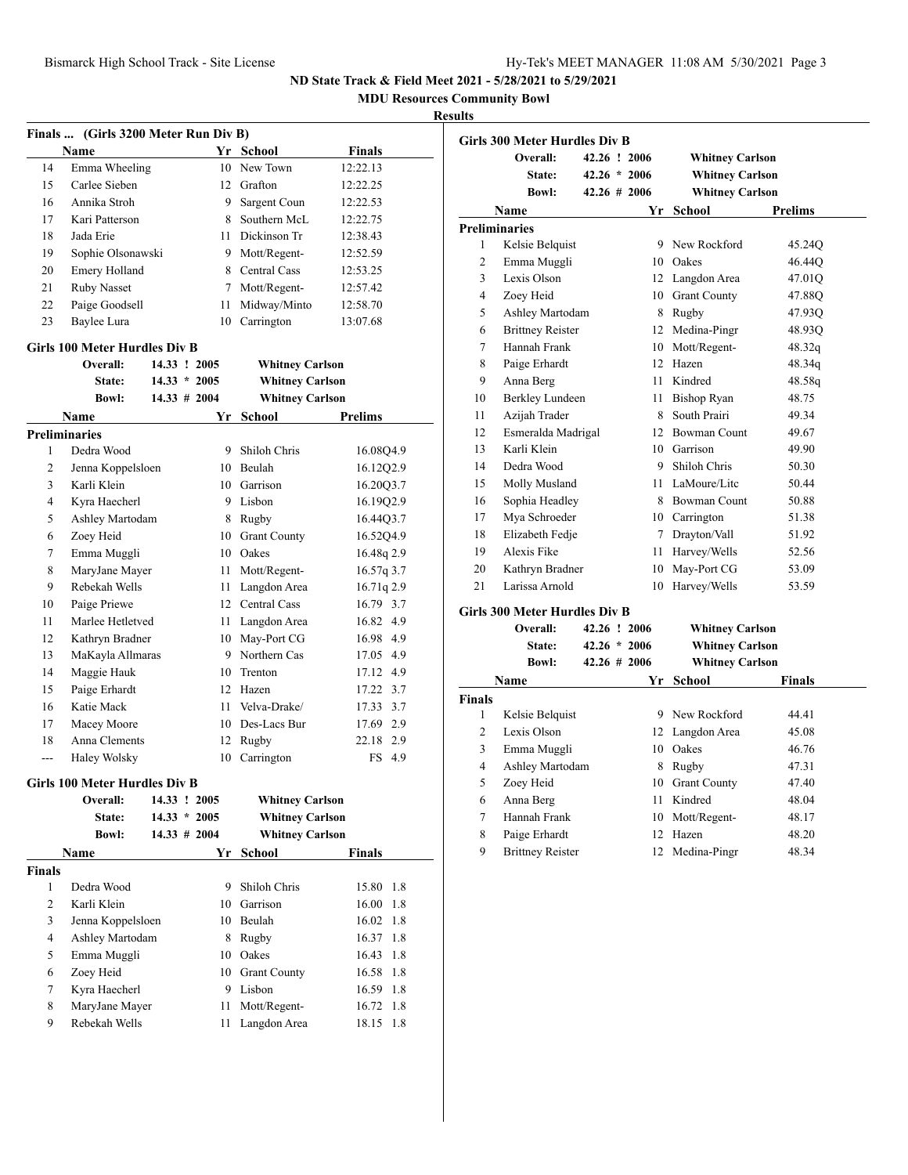**MDU Resources Community Bowl**

| Finals  (Girls 3200 Meter Run Div B) |                                      |                 |      |                        |                |  |
|--------------------------------------|--------------------------------------|-----------------|------|------------------------|----------------|--|
|                                      | Name                                 |                 |      | Yr School              | Finals         |  |
| 14                                   | Emma Wheeling                        |                 |      | 10 New Town            | 12:22.13       |  |
| 15                                   | Carlee Sieben                        |                 |      | 12 Grafton             | 12:22.25       |  |
| 16                                   | Annika Stroh                         |                 | 9    | Sargent Coun           | 12:22.53       |  |
| 17                                   | Kari Patterson                       |                 | 8    | Southern McL           | 12:22.75       |  |
| 18                                   | Jada Erie                            |                 |      | 11 Dickinson Tr        | 12:38.43       |  |
| 19                                   | Sophie Olsonawski                    |                 |      | 9 Mott/Regent-         | 12:52.59       |  |
| 20                                   | Emery Holland                        |                 |      | 8 Central Cass         | 12:53.25       |  |
| 21                                   | Ruby Nasset                          |                 |      | 7 Mott/Regent-         | 12:57.42       |  |
| 22                                   | Paige Goodsell                       |                 | 11   | Midway/Minto           | 12:58.70       |  |
| 23                                   | Baylee Lura                          |                 | 10   | Carrington             | 13:07.68       |  |
|                                      | <b>Girls 100 Meter Hurdles Div B</b> |                 |      |                        |                |  |
|                                      | Overall:                             | 14.33 ! 2005    |      | <b>Whitney Carlson</b> |                |  |
|                                      | State:                               | $14.33 * 2005$  |      | <b>Whitney Carlson</b> |                |  |
|                                      | <b>Bowl:</b>                         | $14.33 \# 2004$ |      | <b>Whitney Carlson</b> |                |  |
|                                      | Name                                 |                 | Yr   | School                 | <b>Prelims</b> |  |
|                                      | <b>Preliminaries</b>                 |                 |      |                        |                |  |
| 1                                    | Dedra Wood                           |                 |      | 9 Shiloh Chris         | 16.08Q4.9      |  |
| 2                                    | Jenna Koppelsloen                    |                 |      | 10 Beulah              | 16.12Q2.9      |  |
| 3                                    | Karli Klein                          |                 |      | 10 Garrison            | 16.20Q3.7      |  |
| $\overline{4}$                       | Kyra Haecherl                        |                 |      | 9 Lisbon               | 16.19Q2.9      |  |
| 5                                    | Ashley Martodam                      |                 |      | 8 Rugby                | 16.44Q3.7      |  |
| 6                                    | Zoey Heid                            |                 |      | 10 Grant County        | 16.5204.9      |  |
| 7                                    | Emma Muggli                          |                 |      | 10 Oakes               | 16.48q 2.9     |  |
| 8                                    | MaryJane Mayer                       |                 | 11 - | Mott/Regent-           | 16.57q 3.7     |  |
| 9                                    | Rebekah Wells                        |                 | 11 - | Langdon Area           | 16.71q 2.9     |  |
| 10                                   | Paige Priewe                         |                 |      | 12 Central Cass        | 16.79 3.7      |  |
| 11                                   | Marlee Hetletved                     |                 |      | 11 Langdon Area        | 16.82 4.9      |  |
| 12                                   | Kathryn Bradner                      |                 |      | 10 May-Port CG         | 16.98 4.9      |  |
| 13                                   | MaKayla Allmaras                     |                 |      | 9 Northern Cas         | 17.05 4.9      |  |
| 14                                   | Maggie Hauk                          |                 |      | 10 Trenton             | 17.12 4.9      |  |
| 15                                   | Paige Erhardt                        |                 |      | 12 Hazen               | 17.22 3.7      |  |
| 16                                   | Katie Mack                           |                 | 11   | Velva-Drake/           | 17.33 3.7      |  |
| 17                                   | Macey Moore                          |                 |      | 10 Des-Lacs Bur        | 17.69 2.9      |  |
| 18                                   | Anna Clements                        |                 |      | 12 Rugby               | 22.18 2.9      |  |
| $\overline{a}$                       | Haley Wolsky                         |                 | 10   | Carrington             | FS 4.9         |  |
|                                      |                                      |                 |      |                        |                |  |
|                                      | <b>Girls 100 Meter Hurdles Div B</b> |                 |      |                        |                |  |
|                                      | Overall:                             | 14.33 ! 2005    |      | <b>Whitney Carlson</b> |                |  |
|                                      | State:                               | $14.33 * 2005$  |      | <b>Whitney Carlson</b> |                |  |
|                                      | <b>Bowl:</b>                         | $14.33 \# 2004$ |      | <b>Whitney Carlson</b> |                |  |
|                                      | Name                                 |                 | Yr   | <b>School</b>          | Finals         |  |
| <b>Finals</b>                        |                                      |                 |      |                        |                |  |
| 1                                    | Dedra Wood                           |                 | 9.   | Shiloh Chris           | 15.80<br>1.8   |  |
| 2                                    | Karli Klein                          |                 |      | 10 Garrison            | 16.00<br>1.8   |  |
| 3                                    | Jenna Koppelsloen                    |                 |      | 10 Beulah              | 1.8<br>16.02   |  |
| 4                                    | Ashley Martodam                      |                 |      | 8 Rugby                | 16.37<br>1.8   |  |
| 5                                    | Emma Muggli                          |                 |      | 10 Oakes               | 16.43<br>1.8   |  |
| 6                                    | Zoey Heid                            |                 |      | 10 Grant County        | 16.58<br>1.8   |  |
| 7                                    | Kyra Haecherl                        |                 |      | 9 Lisbon               | 16.59<br>1.8   |  |
| 8                                    | MaryJane Mayer                       |                 | 11   | Mott/Regent-           | 16.72<br>1.8   |  |
| 9                                    | Rebekah Wells                        |                 | 11   | Langdon Area           | 18.15<br>1.8   |  |

|                | <b>Girls 300 Meter Hurdles Div B</b> |                  |                        |                |
|----------------|--------------------------------------|------------------|------------------------|----------------|
|                | Overall:                             | 42.26 ! 2006     | <b>Whitney Carlson</b> |                |
|                | State:                               | $42.26 * 2006$   | <b>Whitney Carlson</b> |                |
|                | <b>Bowl:</b>                         | $42.26 \pm 2006$ | <b>Whitney Carlson</b> |                |
|                | Name                                 | Yr               | <b>School</b>          | <b>Prelims</b> |
|                | <b>Preliminaries</b>                 |                  |                        |                |
| 1              | Kelsie Belquist                      |                  | 9 New Rockford         | 45.24Q         |
| $\overline{c}$ | Emma Muggli                          | 10.              | Oakes                  | 46.44Q         |
| 3              | Lexis Olson                          |                  | 12 Langdon Area        | 47.01Q         |
| 4              | Zoey Heid                            |                  | 10 Grant County        | 47.88Q         |
| 5              | Ashley Martodam                      |                  | 8 Rugby                | 47.93Q         |
| 6              | <b>Brittney Reister</b>              | 12               | Medina-Pingr           | 48.93Q         |
| 7              | Hannah Frank                         |                  | 10 Mott/Regent-        | 48.32q         |
| 8              | Paige Erhardt                        |                  | 12 Hazen               | 48.34q         |
| 9              | Anna Berg                            | 11 -             | Kindred                | 48.58q         |
| 10             | Berkley Lundeen                      | 11               | Bishop Ryan            | 48.75          |
| 11             | Azijah Trader                        | 8                | South Prairi           | 49.34          |
| 12             | Esmeralda Madrigal                   |                  | 12 Bowman Count        | 49.67          |
| 13             | Karli Klein                          |                  | 10 Garrison            | 49.90          |
| 14             | Dedra Wood                           |                  | 9 Shiloh Chris         | 50.30          |
| 15             | Molly Musland                        |                  | 11 LaMoure/Lite        | 50.44          |
| 16             | Sophia Headley                       |                  | 8 Bowman Count         | 50.88          |
| 17             | Mya Schroeder                        |                  | 10 Carrington          | 51.38          |
| 18             | Elizabeth Fedje                      | 7                | Drayton/Vall           | 51.92          |
| 19             | Alexis Fike                          | 11               | Harvey/Wells           | 52.56          |
| 20             | Kathryn Bradner                      | 10               | May-Port CG            | 53.09          |
| 21             | Larissa Arnold                       | 10               | Harvey/Wells           | 53.59          |
|                | <b>Girls 300 Meter Hurdles Div B</b> |                  |                        |                |
|                | Overall:                             | 42.26 ! 2006     | <b>Whitney Carlson</b> |                |
|                | <b>State:</b>                        | $42.26 * 2006$   | <b>Whitney Carlson</b> |                |
|                | <b>Bowl:</b>                         | $42.26 \pm 2006$ | <b>Whitney Carlson</b> |                |
|                | Name                                 | Yr               | <b>School</b>          | <b>Finals</b>  |

| Name   |                         | Yr  | School              | <b>Finals</b> |  |
|--------|-------------------------|-----|---------------------|---------------|--|
| Finals |                         |     |                     |               |  |
| 1      | Kelsie Belquist         | 9   | New Rockford        | 44.41         |  |
| 2      | Lexis Olson             |     | 12 Langdon Area     | 45.08         |  |
| 3      | Emma Muggli             | 10  | Oakes               | 46.76         |  |
| 4      | Ashley Martodam         | 8   | Rugby               | 47.31         |  |
| 5      | Zoey Heid               | 10  | <b>Grant County</b> | 47.40         |  |
| 6      | Anna Berg               | 11. | Kindred             | 48.04         |  |
| 7      | Hannah Frank            |     | 10 Mott/Regent-     | 48.17         |  |
| 8      | Paige Erhardt           | 12. | Hazen               | 48.20         |  |
| 9      | <b>Brittney Reister</b> |     | 12 Medina-Pingr     | 48.34         |  |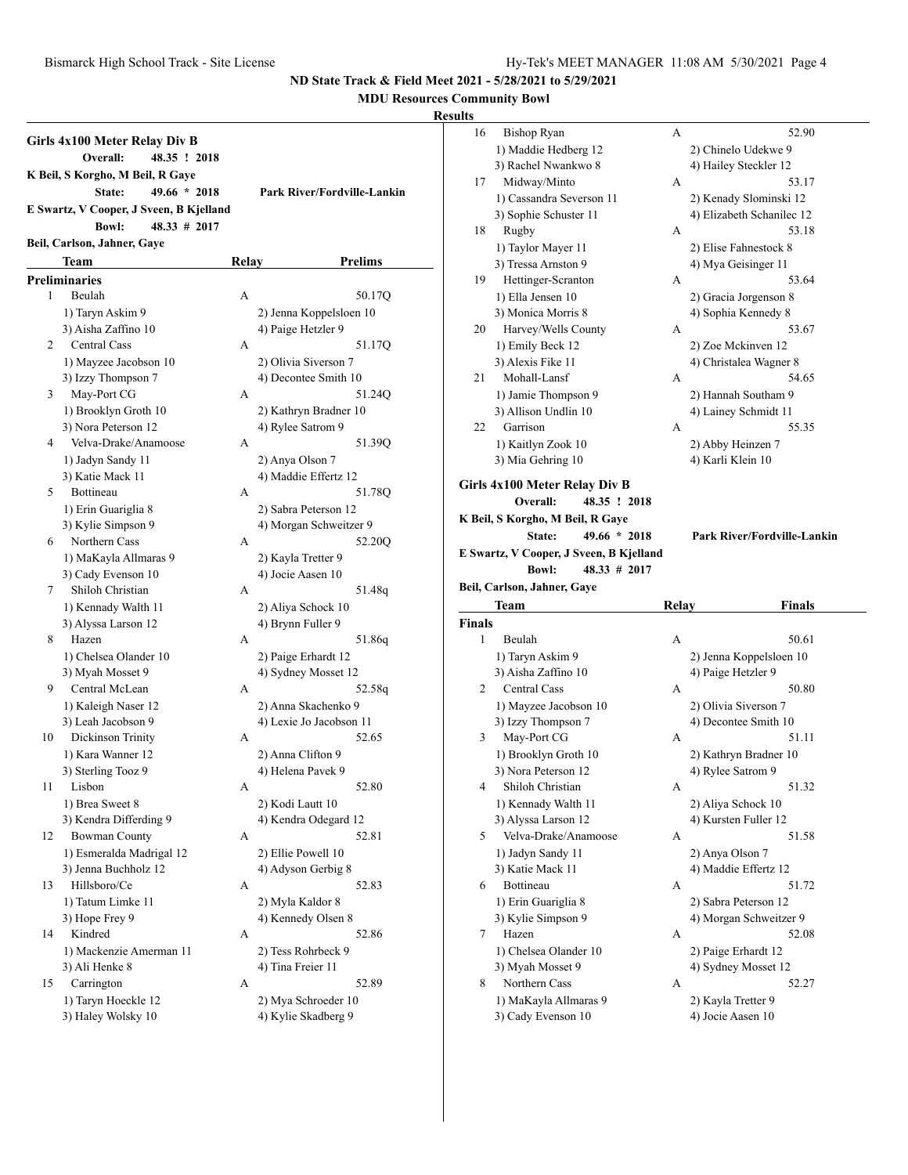**MDU Resources Community Bowl**

|    | Girls 4x100 Meter Relay Div B<br>48.35 ! 2018<br>Overall:<br>K Beil, S Korgho, M Beil, R Gaye<br>$49.66 * 2018$<br>State:<br>E Swartz, V Cooper, J Sveen, B Kjelland |              | Park River/Fordville-Lankin |
|----|----------------------------------------------------------------------------------------------------------------------------------------------------------------------|--------------|-----------------------------|
|    | $48.33 \# 2017$<br><b>Bowl:</b>                                                                                                                                      |              |                             |
|    | Beil, Carlson, Jahner, Gaye                                                                                                                                          |              |                             |
|    | Team                                                                                                                                                                 | <b>Relay</b> | <b>Prelims</b>              |
|    | <b>Preliminaries</b>                                                                                                                                                 |              |                             |
| 1  | Beulah                                                                                                                                                               | А            | 50.17Q                      |
|    | 1) Taryn Askim 9                                                                                                                                                     |              | 2) Jenna Koppelsloen 10     |
|    | 3) Aisha Zaffino 10                                                                                                                                                  |              | 4) Paige Hetzler 9          |
| 2  | <b>Central Cass</b>                                                                                                                                                  | A            | 51.17Q                      |
|    | 1) Mayzee Jacobson 10                                                                                                                                                |              | 2) Olivia Siverson 7        |
|    | 3) Izzy Thompson 7                                                                                                                                                   |              | 4) Decontee Smith 10        |
| 3  | May-Port CG                                                                                                                                                          | A            | 51.24Q                      |
|    | 1) Brooklyn Groth 10                                                                                                                                                 |              | 2) Kathryn Bradner 10       |
|    | 3) Nora Peterson 12                                                                                                                                                  |              | 4) Rylee Satrom 9           |
| 4  | Velva-Drake/Anamoose                                                                                                                                                 | A            | 51.390                      |
|    | 1) Jadyn Sandy 11                                                                                                                                                    |              | 2) Anya Olson 7             |
|    | 3) Katie Mack 11                                                                                                                                                     |              | 4) Maddie Effertz 12        |
| 5  | Bottineau                                                                                                                                                            | A            | 51.78Q                      |
|    | 1) Erin Guariglia 8                                                                                                                                                  |              | 2) Sabra Peterson 12        |
|    | 3) Kylie Simpson 9                                                                                                                                                   |              | 4) Morgan Schweitzer 9      |
| 6  | Northern Cass                                                                                                                                                        | A            | 52.20Q                      |
|    | 1) MaKayla Allmaras 9                                                                                                                                                |              | 2) Kayla Tretter 9          |
|    | 3) Cady Evenson 10                                                                                                                                                   |              | 4) Jocie Aasen 10           |
| 7  | Shiloh Christian                                                                                                                                                     | A            | 51.48q                      |
|    | 1) Kennady Walth 11                                                                                                                                                  |              | 2) Aliya Schock 10          |
|    | 3) Alyssa Larson 12                                                                                                                                                  |              | 4) Brynn Fuller 9           |
| 8  | Hazen                                                                                                                                                                | A            | 51.86q                      |
|    | 1) Chelsea Olander 10                                                                                                                                                |              | 2) Paige Erhardt 12         |
|    | 3) Myah Mosset 9                                                                                                                                                     |              | 4) Sydney Mosset 12         |
| 9  | Central McLean                                                                                                                                                       | A            | 52.58q                      |
|    | 1) Kaleigh Naser 12                                                                                                                                                  |              | 2) Anna Skachenko 9         |
|    | 3) Leah Jacobson 9                                                                                                                                                   |              | 4) Lexie Jo Jacobson 11     |
| 10 | Dickinson Trinity                                                                                                                                                    | A            | 52.65                       |
|    | 1) Kara Wanner 12                                                                                                                                                    |              | 2) Anna Clifton 9           |
|    | 3) Sterling Tooz 9                                                                                                                                                   |              | 4) Helena Pavek 9           |
| 11 | Lisbon                                                                                                                                                               | А            | 52.80                       |
|    | 1) Brea Sweet 8                                                                                                                                                      |              | 2) Kodi Lautt 10            |
|    | 3) Kendra Differding 9                                                                                                                                               |              | 4) Kendra Odegard 12        |
| 12 | <b>Bowman County</b>                                                                                                                                                 | А            | 52.81                       |
|    | 1) Esmeralda Madrigal 12                                                                                                                                             |              | 2) Ellie Powell 10          |
|    | 3) Jenna Buchholz 12                                                                                                                                                 |              | 4) Adyson Gerbig 8          |
| 13 | Hillsboro/Ce                                                                                                                                                         | А            | 52.83                       |
|    | 1) Tatum Limke 11                                                                                                                                                    |              | 2) Myla Kaldor 8            |
|    | 3) Hope Frey 9                                                                                                                                                       |              | 4) Kennedy Olsen 8          |
| 14 | Kindred                                                                                                                                                              | А            | 52.86                       |
|    | 1) Mackenzie Amerman 11                                                                                                                                              |              | 2) Tess Rohrbeck 9          |
|    | 3) Ali Henke 8                                                                                                                                                       |              | 4) Tina Freier 11           |
| 15 | Carrington                                                                                                                                                           | А            | 52.89                       |
|    | 1) Taryn Hoeckle 12                                                                                                                                                  |              | 2) Mya Schroeder 10         |
|    | 3) Haley Wolsky 10                                                                                                                                                   |              | 4) Kylie Skadberg 9         |

| ults   |                                             |       |                                         |  |
|--------|---------------------------------------------|-------|-----------------------------------------|--|
| 16     | <b>Bishop Ryan</b>                          | А     | 52.90                                   |  |
|        | 1) Maddie Hedberg 12                        |       | 2) Chinelo Udekwe 9                     |  |
|        | 3) Rachel Nwankwo 8                         |       | 4) Hailey Steckler 12                   |  |
| 17     | Midway/Minto                                | А     | 53.17                                   |  |
|        | 1) Cassandra Severson 11                    |       | 2) Kenady Slominski 12                  |  |
|        | 3) Sophie Schuster 11                       |       | 4) Elizabeth Schanilec 12               |  |
| 18     | Rugby                                       | А     | 53.18                                   |  |
|        | 1) Taylor Mayer 11                          |       | 2) Elise Fahnestock 8                   |  |
|        | 3) Tressa Arnston 9                         |       | 4) Mya Geisinger 11                     |  |
| 19     | Hettinger-Scranton                          | А     | 53.64                                   |  |
|        | 1) Ella Jensen 10                           |       | 2) Gracia Jorgenson 8                   |  |
|        | 3) Monica Morris 8                          |       | 4) Sophia Kennedy 8                     |  |
| 20     | Harvey/Wells County                         | А     | 53.67                                   |  |
|        | 1) Emily Beck 12                            |       | 2) Zoe Mckinven 12                      |  |
|        | 3) Alexis Fike 11                           |       | 4) Christalea Wagner 8                  |  |
| 21     | Mohall-Lansf                                | А     | 54.65                                   |  |
|        | 1) Jamie Thompson 9                         |       | 2) Hannah Southam 9                     |  |
|        | 3) Allison Undlin 10                        |       | 4) Lainey Schmidt 11                    |  |
| 22     | Garrison                                    | А     | 55.35                                   |  |
|        | 1) Kaitlyn Zook 10                          |       | 2) Abby Heinzen 7                       |  |
|        | 3) Mia Gehring 10                           |       | 4) Karli Klein 10                       |  |
|        |                                             |       |                                         |  |
|        | Girls 4x100 Meter Relay Div B               |       |                                         |  |
|        | 48.35 ! 2018<br>Overall:                    |       |                                         |  |
|        | K Beil, S Korgho, M Beil, R Gaye            |       |                                         |  |
|        |                                             |       |                                         |  |
|        | $49.66 * 2018$<br>State:                    |       | <b>Park River/Fordville-Lankin</b>      |  |
|        | E Swartz, V Cooper, J Sveen, B Kjelland     |       |                                         |  |
|        | $48.33 \# 2017$<br><b>Bowl:</b>             |       |                                         |  |
|        | Beil, Carlson, Jahner, Gaye                 |       |                                         |  |
|        | Team                                        | Relay | Finals                                  |  |
| Finals |                                             |       |                                         |  |
| 1      | Beulah                                      | А     | 50.61                                   |  |
|        | 1) Taryn Askim 9                            |       | 2) Jenna Koppelsloen 10                 |  |
|        | 3) Aisha Zaffino 10                         |       | 4) Paige Hetzler 9                      |  |
| 2      | Central Cass                                | А     | 50.80                                   |  |
|        | 1) Mayzee Jacobson 10                       |       | 2) Olivia Siverson 7                    |  |
|        | 3) Izzy Thompson 7                          |       | 4) Decontee Smith 10                    |  |
| 3      | May-Port CG                                 | А     | 51.11                                   |  |
|        | 1) Brooklyn Groth 10                        |       | 2) Kathryn Bradner 10                   |  |
|        | 3) Nora Peterson 12                         |       | 4) Rylee Satrom 9                       |  |
| 4      | Shiloh Christian                            | А     | 51.32                                   |  |
|        | 1) Kennady Walth 11                         |       | 2) Aliya Schock 10                      |  |
|        | 3) Alyssa Larson 12                         |       | 4) Kursten Fuller 12                    |  |
| 5      | Velva-Drake/Anamoose                        | А     | 51.58                                   |  |
|        | 1) Jadyn Sandy 11                           |       |                                         |  |
|        | 3) Katie Mack 11                            |       | 2) Anya Olson 7<br>4) Maddie Effertz 12 |  |
| 6      | Bottineau                                   | А     | 51.72                                   |  |
|        |                                             |       |                                         |  |
|        | 1) Erin Guariglia 8                         |       | 2) Sabra Peterson 12                    |  |
|        | 3) Kylie Simpson 9                          |       | 4) Morgan Schweitzer 9                  |  |
| 7      | Hazen                                       | А     | 52.08                                   |  |
|        | 1) Chelsea Olander 10                       |       | 2) Paige Erhardt 12                     |  |
|        | 3) Myah Mosset 9                            |       | 4) Sydney Mosset 12                     |  |
| 8      | Northern Cass                               | А     | 52.27                                   |  |
|        | 1) MaKayla Allmaras 9<br>3) Cady Evenson 10 |       | 2) Kayla Tretter 9<br>4) Jocie Aasen 10 |  |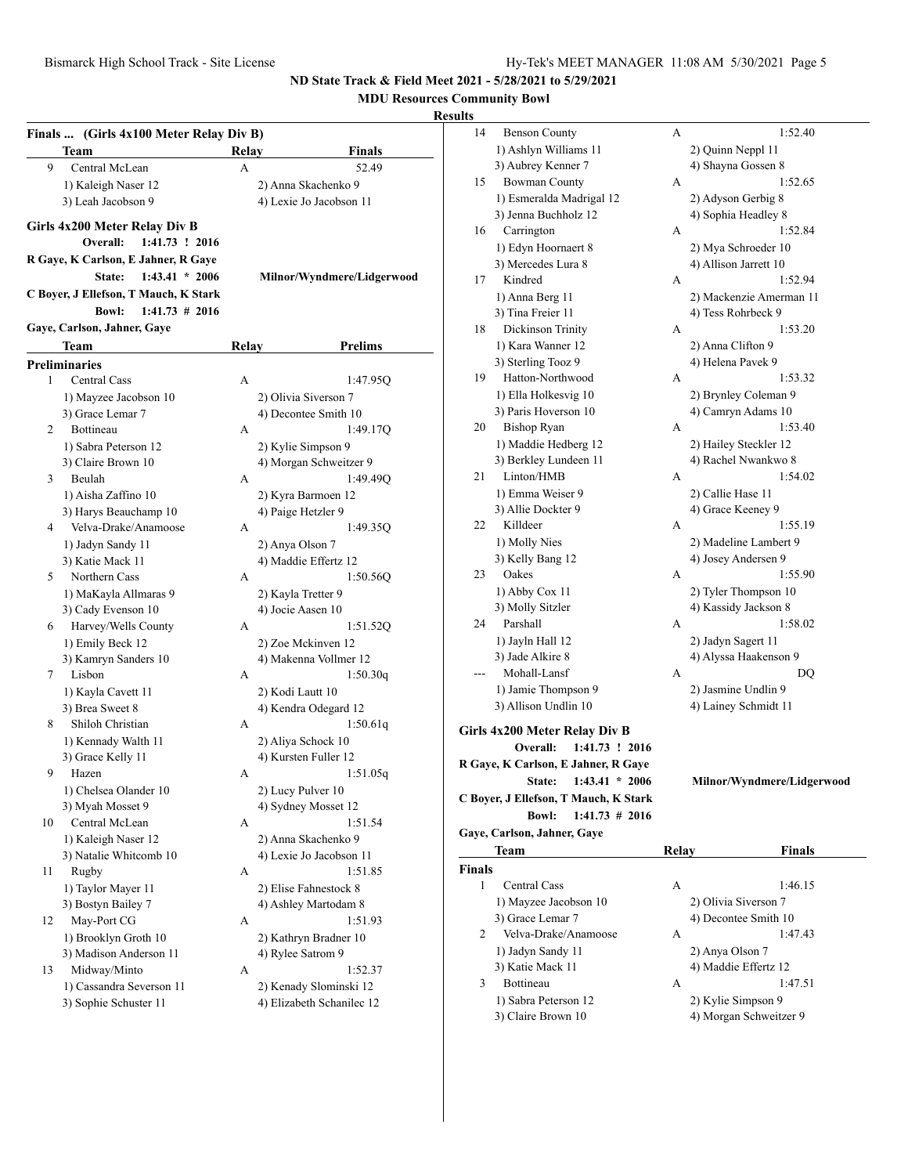**MDU Resources Community Bowl**

### **Resul**

|    | Finals  (Girls 4x100 Meter Relay Div B)<br>Team                   | Relay | <b>Finals</b>              |
|----|-------------------------------------------------------------------|-------|----------------------------|
| 9  | Central McLean                                                    | А     | 52.49                      |
|    | 1) Kaleigh Naser 12                                               |       | 2) Anna Skachenko 9        |
|    | 3) Leah Jacobson 9                                                |       | 4) Lexie Jo Jacobson 11    |
|    |                                                                   |       |                            |
|    | Girls 4x200 Meter Relay Div B<br>Overall:<br>1:41.73 ! 2016       |       |                            |
|    | R Gaye, K Carlson, E Jahner, R Gaye<br>State:<br>$1:43.41 * 2006$ |       | Milnor/Wyndmere/Lidgerwood |
|    | C Boyer, J Ellefson, T Mauch, K Stark                             |       |                            |
|    | $1:41.73 \# 2016$<br><b>Bowl:</b>                                 |       |                            |
|    | Gaye, Carlson, Jahner, Gaye                                       |       |                            |
|    | Team                                                              | Relay | <b>Prelims</b>             |
|    | <b>Preliminaries</b>                                              |       |                            |
| 1  | <b>Central Cass</b>                                               | А     | 1:47.95Q                   |
|    | 1) Mayzee Jacobson 10                                             |       | 2) Olivia Siverson 7       |
|    | 3) Grace Lemar 7                                                  |       | 4) Decontee Smith 10       |
| 2  | Bottineau                                                         | A     | 1:49.17Q                   |
|    | 1) Sabra Peterson 12                                              |       | 2) Kylie Simpson 9         |
|    | 3) Claire Brown 10                                                |       | 4) Morgan Schweitzer 9     |
| 3  | Beulah                                                            | A     | 1:49.49Q                   |
|    | 1) Aisha Zaffino 10                                               |       | 2) Kyra Barmoen 12         |
|    | 3) Harys Beauchamp 10                                             |       | 4) Paige Hetzler 9         |
| 4  | Velva-Drake/Anamoose                                              | А     | 1:49.35O                   |
|    | 1) Jadyn Sandy 11                                                 |       | 2) Anya Olson 7            |
|    | 3) Katie Mack 11                                                  |       | 4) Maddie Effertz 12       |
| 5  | Northern Cass                                                     | А     | 1:50.56Q                   |
|    | 1) MaKayla Allmaras 9                                             |       | 2) Kayla Tretter 9         |
|    | 3) Cady Evenson 10                                                |       | 4) Jocie Aasen 10          |
| 6  | Harvey/Wells County                                               | A     | 1:51.52Q                   |
|    | 1) Emily Beck 12                                                  |       | 2) Zoe Mckinven 12         |
|    | 3) Kamryn Sanders 10                                              |       | 4) Makenna Vollmer 12      |
| 7  | Lisbon                                                            | А     | 1:50.30q                   |
|    | 1) Kayla Cavett 11                                                |       | 2) Kodi Lautt 10           |
|    | 3) Brea Sweet 8                                                   |       | 4) Kendra Odegard 12       |
| 8  | Shiloh Christian                                                  | А     | 1:50.61q                   |
|    | 1) Kennady Walth 11                                               |       | 2) Aliya Schock 10         |
|    | 3) Grace Kelly 11                                                 |       | 4) Kursten Fuller 12       |
| 9  | Hazen                                                             | А     | 1:51.05q                   |
|    | 1) Chelsea Olander 10                                             |       | 2) Lucy Pulver 10          |
|    | 3) Myah Mosset 9                                                  |       | 4) Sydney Mosset 12        |
| 10 | Central McLean                                                    | А     | 1:51.54                    |
|    | 1) Kaleigh Naser 12                                               |       | 2) Anna Skachenko 9        |
|    | 3) Natalie Whitcomb 10                                            |       | 4) Lexie Jo Jacobson 11    |
| 11 | Rugby                                                             | А     | 1:51.85                    |
|    | 1) Taylor Mayer 11                                                |       | 2) Elise Fahnestock 8      |
|    | 3) Bostyn Bailey 7                                                |       | 4) Ashley Martodam 8       |
| 12 | May-Port CG                                                       | А     | 1:51.93                    |
|    | 1) Brooklyn Groth 10                                              |       | 2) Kathryn Bradner 10      |
|    | 3) Madison Anderson 11                                            |       | 4) Rylee Satrom 9          |
| 13 | Midway/Minto                                                      | А     | 1:52.37                    |
|    | 1) Cassandra Severson 11                                          |       | 2) Kenady Slominski 12     |
|    | 3) Sophie Schuster 11                                             |       | 4) Elizabeth Schanilec 12  |
|    |                                                                   |       |                            |

| ılts   |                                       |       |                            |
|--------|---------------------------------------|-------|----------------------------|
| 14     | <b>Benson County</b>                  | А     | 1:52.40                    |
|        | 1) Ashlyn Williams 11                 |       | 2) Quinn Neppl 11          |
|        | 3) Aubrey Kenner 7                    |       | 4) Shayna Gossen 8         |
| 15     | <b>Bowman County</b>                  | А     | 1:52.65                    |
|        | 1) Esmeralda Madrigal 12              |       | 2) Adyson Gerbig 8         |
|        | 3) Jenna Buchholz 12                  |       | 4) Sophia Headley 8        |
| 16     | Carrington                            | А     | 1:52.84                    |
|        | 1) Edyn Hoornaert 8                   |       | 2) Mya Schroeder 10        |
|        | 3) Mercedes Lura 8                    |       | 4) Allison Jarrett 10      |
| 17     | Kindred                               | А     | 1:52.94                    |
|        | 1) Anna Berg 11                       |       | 2) Mackenzie Amerman 11    |
|        | 3) Tina Freier 11                     |       | 4) Tess Rohrbeck 9         |
| 18     | Dickinson Trinity                     | А     | 1:53.20                    |
|        | 1) Kara Wanner 12                     |       | 2) Anna Clifton 9          |
|        | 3) Sterling Tooz 9                    |       | 4) Helena Pavek 9          |
| 19     | Hatton-Northwood                      | А     | 1:53.32                    |
|        | 1) Ella Holkesvig 10                  |       | 2) Brynley Coleman 9       |
|        | 3) Paris Hoverson 10                  |       | 4) Camryn Adams 10         |
| 20     | <b>Bishop Ryan</b>                    | А     | 1:53.40                    |
|        | 1) Maddie Hedberg 12                  |       | 2) Hailey Steckler 12      |
|        | 3) Berkley Lundeen 11                 |       | 4) Rachel Nwankwo 8        |
| 21     | Linton/HMB                            | А     | 1:54.02                    |
|        | 1) Emma Weiser 9                      |       | 2) Callie Hase 11          |
|        | 3) Allie Dockter 9                    |       | 4) Grace Keeney 9          |
| 22     | Killdeer                              | А     | 1:55.19                    |
|        | 1) Molly Nies                         |       | 2) Madeline Lambert 9      |
|        | 3) Kelly Bang 12                      |       | 4) Josey Andersen 9        |
| 23     | Oakes                                 | А     | 1:55.90                    |
|        | 1) Abby Cox 11                        |       | 2) Tyler Thompson 10       |
|        | 3) Molly Sitzler                      |       | 4) Kassidy Jackson 8       |
| 24     | Parshall                              | А     | 1:58.02                    |
|        | 1) Jayln Hall 12                      |       | 2) Jadyn Sagert 11         |
|        | 3) Jade Alkire 8                      |       | 4) Alyssa Haakenson 9      |
|        | Mohall-Lansf                          | А     | DQ                         |
|        | 1) Jamie Thompson 9                   |       | 2) Jasmine Undlin 9        |
|        | 3) Allison Undlin 10                  |       | 4) Lainey Schmidt 11       |
|        | Girls 4x200 Meter Relay Div B         |       |                            |
|        | Overall:<br>1:41.73 ! 2016            |       |                            |
|        | R Gaye, K Carlson, E Jahner, R Gaye   |       |                            |
|        | State: 1:43.41 * 2006                 |       | Milnor/Wyndmere/Lidgerwood |
|        | C Boyer, J Ellefson, T Mauch, K Stark |       |                            |
|        | <b>Bowl:</b><br>$1:41.73 \# 2016$     |       |                            |
|        | Gaye, Carlson, Jahner, Gaye           |       |                            |
|        | Team                                  | Relay | <b>Finals</b>              |
| Finals |                                       |       |                            |
| 1      | Central Cass                          | А     | 1:46.15                    |
|        | 1) Mayzee Jacobson 10                 |       | 2) Olivia Siverson 7       |
|        | 3) Grace Lemar 7                      |       | 4) Decontee Smith 10       |
| 2      | Velva-Drake/Anamoose                  | А     | 1:47.43                    |
|        | 1) Jadyn Sandy 11                     |       | 2) Anya Olson 7            |
|        | 3) Katie Mack 11                      |       | 4) Maddie Effertz 12       |
| 3      | Bottineau                             | А     | 1:47.51                    |
|        | 1) Sabra Peterson 12                  |       | 2) Kylie Simpson 9         |
|        | 3) Claire Brown 10                    |       | 4) Morgan Schweitzer 9     |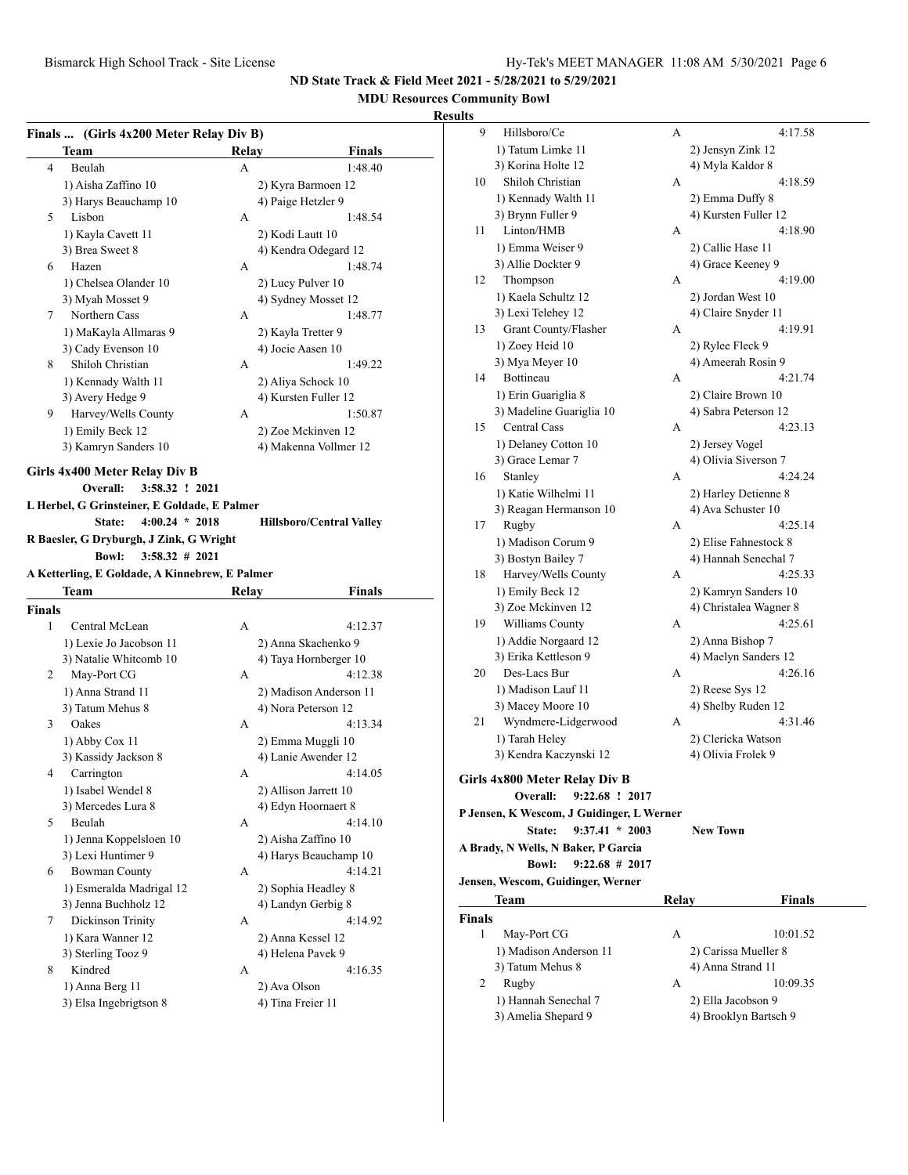## **MDU Resources Community Bowl**

|        | Finals  (Girls 4x200 Meter Relay Div B)        |       |                                        |
|--------|------------------------------------------------|-------|----------------------------------------|
|        | Team                                           | Relay | Finals                                 |
| 4      | Beulah                                         | A     | 1:48.40                                |
|        | 1) Aisha Zaffino 10                            |       | 2) Kyra Barmoen 12                     |
|        | 3) Harys Beauchamp 10                          |       | 4) Paige Hetzler 9                     |
| 5      | Lisbon                                         | А     | 1:48.54                                |
|        | 1) Kayla Cavett 11                             |       | 2) Kodi Lautt 10                       |
|        | 3) Brea Sweet 8                                |       | 4) Kendra Odegard 12                   |
| 6      | Hazen                                          | А     | 1:48.74                                |
|        | 1) Chelsea Olander 10                          |       | 2) Lucy Pulver 10                      |
|        | 3) Myah Mosset 9                               |       | 4) Sydney Mosset 12                    |
| 7      | Northern Cass                                  | А     | 1:48.77                                |
|        | 1) MaKayla Allmaras 9                          |       | 2) Kayla Tretter 9                     |
|        | 3) Cady Evenson 10                             |       | 4) Jocie Aasen 10                      |
| 8      | Shiloh Christian                               | А     | 1:49.22                                |
|        | 1) Kennady Walth 11                            |       | 2) Aliya Schock 10                     |
|        | 3) Avery Hedge 9                               |       | 4) Kursten Fuller 12                   |
| 9      | Harvey/Wells County                            | A     | 1:50.87                                |
|        | 1) Emily Beck 12                               |       | 2) Zoe Mckinven 12                     |
|        | 3) Kamryn Sanders 10                           |       | 4) Makenna Vollmer 12                  |
|        | Girls 4x400 Meter Relay Div B                  |       |                                        |
|        | Overall:<br>3:58.32 ! 2021                     |       |                                        |
|        | L Herbel, G Grinsteiner, E Goldade, E Palmer   |       |                                        |
|        | $4:00.24 * 2018$<br>State:                     |       | <b>Hillsboro/Central Valley</b>        |
|        | R Baesler, G Dryburgh, J Zink, G Wright        |       |                                        |
|        | <b>Bowl:</b><br>$3:58.32 \# 2021$              |       |                                        |
|        | A Ketterling, E Goldade, A Kinnebrew, E Palmer |       |                                        |
|        | Team                                           | Relay | Finals                                 |
| Finals |                                                |       |                                        |
|        |                                                |       |                                        |
| 1      | Central McLean                                 | A     | 4:12.37                                |
|        |                                                |       |                                        |
|        | 1) Lexie Jo Jacobson 11                        |       | 2) Anna Skachenko 9                    |
| 2      | 3) Natalie Whitcomb 10                         | A     | 4) Taya Hornberger 10                  |
|        | May-Port CG                                    |       | 4:12.38                                |
|        | 1) Anna Strand 11                              |       | 2) Madison Anderson 11                 |
| 3      | 3) Tatum Mehus 8<br>Oakes                      | A     | 4) Nora Peterson 12<br>4:13.34         |
|        |                                                |       |                                        |
|        | 1) Abby Cox 11<br>3) Kassidy Jackson 8         |       | 2) Emma Muggli 10                      |
| 4      | Carrington                                     | А     | 4) Lanie Awender 12<br>4:14.05         |
|        |                                                |       |                                        |
|        | 1) Isabel Wendel 8<br>3) Mercedes Lura 8       |       | 2) Allison Jarrett 10                  |
| 5      | Beulah                                         | А     | 4) Edyn Hoornaert 8<br>4:14.10         |
|        |                                                |       | 2) Aisha Zaffino 10                    |
|        | 1) Jenna Koppelsloen 10                        |       |                                        |
| 6      | 3) Lexi Huntimer 9                             | А     | 4) Harys Beauchamp 10<br>4:14.21       |
|        | <b>Bowman County</b>                           |       |                                        |
|        | 1) Esmeralda Madrigal 12                       |       | 2) Sophia Headley 8                    |
| 7      | 3) Jenna Buchholz 12<br>Dickinson Trinity      | А     | 4) Landyn Gerbig 8<br>4:14.92          |
|        | 1) Kara Wanner 12                              |       |                                        |
|        |                                                |       | 2) Anna Kessel 12<br>4) Helena Pavek 9 |
| 8      | 3) Sterling Tooz 9<br>Kindred                  | А     | 4:16.35                                |
|        |                                                |       |                                        |
|        | 1) Anna Berg 11<br>3) Elsa Ingebrigtson 8      |       | 2) Ava Olson<br>4) Tina Freier 11      |

| ums           |                                           |       |                        |
|---------------|-------------------------------------------|-------|------------------------|
| 9             | Hillsboro/Ce                              | А     | 4:17.58                |
|               | 1) Tatum Limke 11                         |       | 2) Jensyn Zink 12      |
|               | 3) Korina Holte 12                        |       | 4) Myla Kaldor 8       |
| 10            | Shiloh Christian                          | А     | 4:18.59                |
|               | 1) Kennady Walth 11                       |       | 2) Emma Duffy 8        |
|               | 3) Brynn Fuller 9                         |       | 4) Kursten Fuller 12   |
| 11            | Linton/HMB                                | А     | 4:18.90                |
|               |                                           |       |                        |
|               | 1) Emma Weiser 9                          |       | 2) Callie Hase 11      |
|               | 3) Allie Dockter 9                        |       | 4) Grace Keeney 9      |
| 12            | Thompson                                  | А     | 4:19.00                |
|               | 1) Kaela Schultz 12                       |       | 2) Jordan West 10      |
|               | 3) Lexi Telehey 12                        |       | 4) Claire Snyder 11    |
| 13            | Grant County/Flasher                      | А     | 4:19.91                |
|               | 1) Zoey Heid 10                           |       | 2) Rylee Fleck 9       |
|               | 3) Mya Meyer 10                           |       | 4) Ameerah Rosin 9     |
| 14            | Bottineau                                 | А     | 4:21.74                |
|               | 1) Erin Guariglia 8                       |       | 2) Claire Brown 10     |
|               | 3) Madeline Guariglia 10                  |       | 4) Sabra Peterson 12   |
| 15            | Central Cass                              | А     | 4:23.13                |
|               | 1) Delaney Cotton 10                      |       | 2) Jersey Vogel        |
|               | 3) Grace Lemar 7                          |       | 4) Olivia Siverson 7   |
| 16            | Stanley                                   | А     | 4:24.24                |
|               | 1) Katie Wilhelmi 11                      |       | 2) Harley Detienne 8   |
|               | 3) Reagan Hermanson 10                    |       | 4) Ava Schuster 10     |
| 17            | Rugby                                     | А     | 4:25.14                |
|               | 1) Madison Corum 9                        |       | 2) Elise Fahnestock 8  |
|               | 3) Bostyn Bailey 7                        |       | 4) Hannah Senechal 7   |
| 18            | Harvey/Wells County                       | А     | 4:25.33                |
|               | 1) Emily Beck 12                          |       | 2) Kamryn Sanders 10   |
|               | 3) Zoe Mckinven 12                        |       | 4) Christalea Wagner 8 |
| 19            | Williams County                           | А     | 4:25.61                |
|               | 1) Addie Norgaard 12                      |       | 2) Anna Bishop 7       |
|               | 3) Erika Kettleson 9                      |       | 4) Maelyn Sanders 12   |
| 20            | Des-Lacs Bur                              | А     | 4:26.16                |
|               | 1) Madison Lauf 11                        |       | 2) Reese Sys 12        |
|               | 3) Macey Moore 10                         |       | 4) Shelby Ruden 12     |
| 21            | Wyndmere-Lidgerwood                       | A     | 4:31.46                |
|               | 1) Tarah Heley                            |       |                        |
|               |                                           |       | 2) Clericka Watson     |
|               | 3) Kendra Kaczynski 12                    |       | 4) Olivia Frolek 9     |
|               | Girls 4x800 Meter Relay Div B             |       |                        |
|               | Overall:<br>9:22.68 ! 2017                |       |                        |
|               | P Jensen, K Wescom, J Guidinger, L Werner |       |                        |
|               | $9:37.41 * 2003$<br>State:                |       | <b>New Town</b>        |
|               | A Brady, N Wells, N Baker, P Garcia       |       |                        |
|               | $9:22.68$ # 2017<br><b>Bowl:</b>          |       |                        |
|               | Jensen, Wescom, Guidinger, Werner         |       |                        |
|               | Team                                      | Relay | <b>Finals</b>          |
| <b>Finals</b> |                                           |       |                        |
| 1             | May-Port CG                               | А     | 10:01.52               |
|               | 1) Madison Anderson 11                    |       | 2) Carissa Mueller 8   |
|               | 3) Tatum Mehus 8                          |       | 4) Anna Strand 11      |
| 2             | Rugby                                     | A     | 10:09.35               |
|               |                                           |       |                        |
|               | 1) Hannah Senechal 7                      |       | 2) Ella Jacobson 9     |
|               | 3) Amelia Shepard 9                       |       | 4) Brooklyn Bartsch 9  |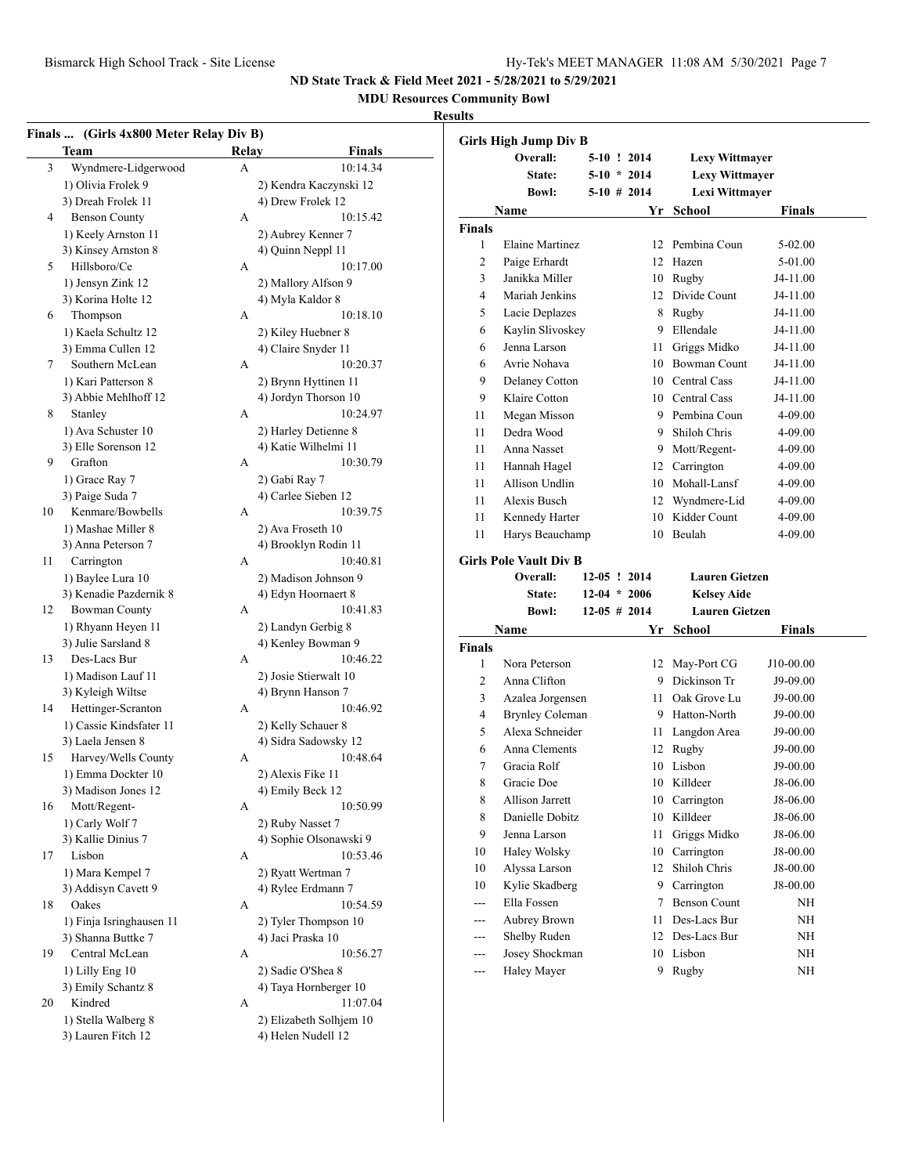**MDU Resources Community Bowl**

|    | Finals  (Girls 4x800 Meter Relay Div B)<br><b>Team</b> | Relay | <b>Finals</b>                                 |               | <b>Girls High Jump Div B</b>  |                |                       |               |
|----|--------------------------------------------------------|-------|-----------------------------------------------|---------------|-------------------------------|----------------|-----------------------|---------------|
| 3  | Wyndmere-Lidgerwood                                    | A     | 10:14.34                                      |               | Overall:                      | $5-10$ ! 2014  | <b>Lexy Wittmayer</b> |               |
|    | 1) Olivia Frolek 9                                     |       | 2) Kendra Kaczynski 12                        |               | State:                        | $5-10 * 2014$  | Lexy Wittmayer        |               |
|    | 3) Dreah Frolek 11                                     |       | 4) Drew Frolek 12                             |               | <b>Bowl:</b>                  | $5-10$ # 2014  | Lexi Wittmayer        |               |
| 4  | <b>Benson County</b>                                   | A     | 10:15.42                                      |               | Name                          |                | Yr School             | <b>Finals</b> |
|    | 1) Keely Arnston 11                                    |       | 2) Aubrey Kenner 7                            | <b>Finals</b> |                               |                |                       |               |
|    | 3) Kinsey Arnston 8                                    |       | 4) Quinn Neppl 11                             | $\mathbf{1}$  | Elaine Martinez               |                | 12 Pembina Coun       | 5-02.00       |
| 5  | Hillsboro/Ce                                           | А     | 10:17.00                                      | $\mathbf{2}$  | Paige Erhardt                 | 12             | Hazen                 | 5-01.00       |
|    |                                                        |       |                                               | 3             | Janikka Miller                |                | 10 Rugby              | J4-11.00      |
|    | 1) Jensyn Zink 12<br>3) Korina Holte 12                |       | 2) Mallory Alfson 9                           | 4             | Mariah Jenkins                |                | 12 Divide Count       | J4-11.00      |
|    |                                                        |       | 4) Myla Kaldor 8<br>10:18.10                  | 5             | Lacie Deplazes                |                | 8 Rugby               | J4-11.00      |
| 6  | Thompson                                               | А     |                                               | 6             | Kaylin Slivoskey              |                | 9 Ellendale           | J4-11.00      |
|    | 1) Kaela Schultz 12                                    |       | 2) Kiley Huebner 8                            | 6             | Jenna Larson                  |                | 11 Griggs Midko       | J4-11.00      |
|    | 3) Emma Cullen 12                                      |       | 4) Claire Snyder 11                           |               |                               |                |                       |               |
| 7  | Southern McLean                                        | A     | 10:20.37                                      | 6             | Avrie Nohava                  |                | 10 Bowman Count       | J4-11.00      |
|    | 1) Kari Patterson 8                                    |       | 2) Brynn Hyttinen 11                          | 9             | Delaney Cotton                | 10             | Central Cass          | J4-11.00      |
|    | 3) Abbie Mehlhoff 12                                   |       | 4) Jordyn Thorson 10                          | 9             | Klaire Cotton                 |                | 10 Central Cass       | J4-11.00      |
| 8  | Stanley                                                | A     | 10:24.97                                      | 11            | Megan Misson                  | 9              | Pembina Coun          | 4-09.00       |
|    | 1) Ava Schuster 10                                     |       | 2) Harley Detienne 8                          | 11            | Dedra Wood                    | 9              | Shiloh Chris          | 4-09.00       |
|    | 3) Elle Sorenson 12                                    |       | 4) Katie Wilhelmi 11                          | 11            | Anna Nasset                   | 9              | Mott/Regent-          | 4-09.00       |
| 9  | Grafton                                                | А     | 10:30.79                                      | 11            | Hannah Hagel                  | 12             | Carrington            | 4-09.00       |
|    | 1) Grace Ray 7                                         |       | 2) Gabi Ray 7                                 | 11            | Allison Undlin                |                | 10 Mohall-Lansf       | 4-09.00       |
|    | 3) Paige Suda 7                                        |       | 4) Carlee Sieben 12                           | 11            | Alexis Busch                  | 12             | Wyndmere-Lid          | 4-09.00       |
| 10 | Kenmare/Bowbells                                       | A     | 10:39.75                                      | 11            | Kennedy Harter                |                | 10 Kidder Count       | 4-09.00       |
|    | 1) Mashae Miller 8                                     |       | 2) Ava Froseth 10                             | 11            | Harys Beauchamp               |                | 10 Beulah             | 4-09.00       |
|    | 3) Anna Peterson 7                                     |       | 4) Brooklyn Rodin 11                          |               |                               |                |                       |               |
| 11 | Carrington                                             | A     | 10:40.81                                      |               | <b>Girls Pole Vault Div B</b> |                |                       |               |
|    | 1) Baylee Lura 10                                      |       | 2) Madison Johnson 9                          |               | Overall:                      | $12-05$ ! 2014 | <b>Lauren Gietzen</b> |               |
|    | 3) Kenadie Pazdernik 8                                 |       | 4) Edyn Hoornaert 8                           |               | State:                        | $12-04 * 2006$ | <b>Kelsey Aide</b>    |               |
| 12 | <b>Bowman County</b>                                   | A     | 10:41.83                                      |               | <b>Bowl:</b>                  | $12-05$ # 2014 | <b>Lauren Gietzen</b> |               |
|    | 1) Rhyann Heyen 11                                     |       | 2) Landyn Gerbig 8                            |               | Name                          |                | Yr School             | <b>Finals</b> |
|    | 3) Julie Sarsland 8                                    |       | 4) Kenley Bowman 9                            | <b>Finals</b> |                               |                |                       |               |
| 13 | Des-Lacs Bur                                           | A     | 10:46.22                                      | 1             | Nora Peterson                 |                | 12 May-Port CG        | J10-00.00     |
|    | 1) Madison Lauf 11                                     |       | 2) Josie Stierwalt 10                         | 2             | Anna Clifton                  |                | 9 Dickinson Tr        | J9-09.00      |
|    | 3) Kyleigh Wiltse                                      |       | 4) Brynn Hanson 7                             | 3             | Azalea Jorgensen              | 11             | Oak Grove Lu          | $J9-00.00$    |
| 14 | Hettinger-Scranton                                     | A     | 10:46.92                                      | 4             | <b>Brynley Coleman</b>        |                | 9 Hatton-North        | J9-00.00      |
|    | 1) Cassie Kindsfater 11                                |       | 2) Kelly Schauer 8                            | 5             | Alexa Schneider               |                | 11 Langdon Area       | J9-00.00      |
|    | 3) Laela Jensen 8                                      |       |                                               |               |                               |                |                       | J9-00.00      |
|    |                                                        |       | 4) Sidra Sadowsky 12                          |               |                               |                |                       |               |
| 15 | Harvey/Wells County                                    | A     | 10:48.64                                      | 6             | Anna Clements                 |                | 12 Rugby              |               |
|    | 1) Emma Dockter 10                                     |       | 2) Alexis Fike 11                             | 7             | Gracia Rolf                   |                | 10 Lisbon             | J9-00.00      |
|    |                                                        |       |                                               | 8             | Gracie Doe                    |                | 10 Killdeer           | J8-06.00      |
| 16 | 3) Madison Jones 12                                    | A     | 4) Emily Beck 12<br>10:50.99                  | 8             | <b>Allison Jarrett</b>        |                | 10 Carrington         | J8-06.00      |
|    | Mott/Regent-                                           |       |                                               | 8             | Danielle Dobitz               |                | 10 Killdeer           | J8-06.00      |
|    | 1) Carly Wolf 7                                        |       | 2) Ruby Nasset 7                              | 9             | Jenna Larson                  |                | 11 Griggs Midko       | J8-06.00      |
|    | 3) Kallie Dinius 7                                     |       | 4) Sophie Olsonawski 9                        | 10            | Haley Wolsky                  |                | 10 Carrington         | J8-00.00      |
| 17 | Lisbon                                                 | A     | 10:53.46                                      | 10            | Alyssa Larson                 |                | 12 Shiloh Chris       | J8-00.00      |
|    | 1) Mara Kempel 7                                       |       | 2) Ryatt Wertman 7                            | 10            | Kylie Skadberg                |                | 9 Carrington          | J8-00.00      |
|    | 3) Addisyn Cavett 9                                    |       | 4) Rylee Erdmann 7                            | ---           |                               | 7              | <b>Benson Count</b>   |               |
| 18 | Oakes                                                  | A     | 10:54.59                                      |               | Ella Fossen                   |                |                       | <b>NH</b>     |
|    | 1) Finja Isringhausen 11                               |       | 2) Tyler Thompson 10                          | ---           | Aubrey Brown                  |                | 11 Des-Lacs Bur       | <b>NH</b>     |
|    | 3) Shanna Buttke 7                                     |       | 4) Jaci Praska 10                             | ---           | Shelby Ruden                  |                | 12 Des-Lacs Bur       | <b>NH</b>     |
| 19 | Central McLean                                         | A     | 10:56.27                                      | ---           | Josey Shockman                |                | 10 Lisbon             | NH            |
|    | 1) Lilly Eng 10                                        |       | 2) Sadie O'Shea 8                             | ---           | Haley Mayer                   |                | 9 Rugby               | <b>NH</b>     |
|    | 3) Emily Schantz 8                                     |       | 4) Taya Hornberger 10                         |               |                               |                |                       |               |
| 20 | Kindred                                                | А     | 11:07.04                                      |               |                               |                |                       |               |
|    | 1) Stella Walberg 8<br>3) Lauren Fitch 12              |       | 2) Elizabeth Solhjem 10<br>4) Helen Nudell 12 |               |                               |                |                       |               |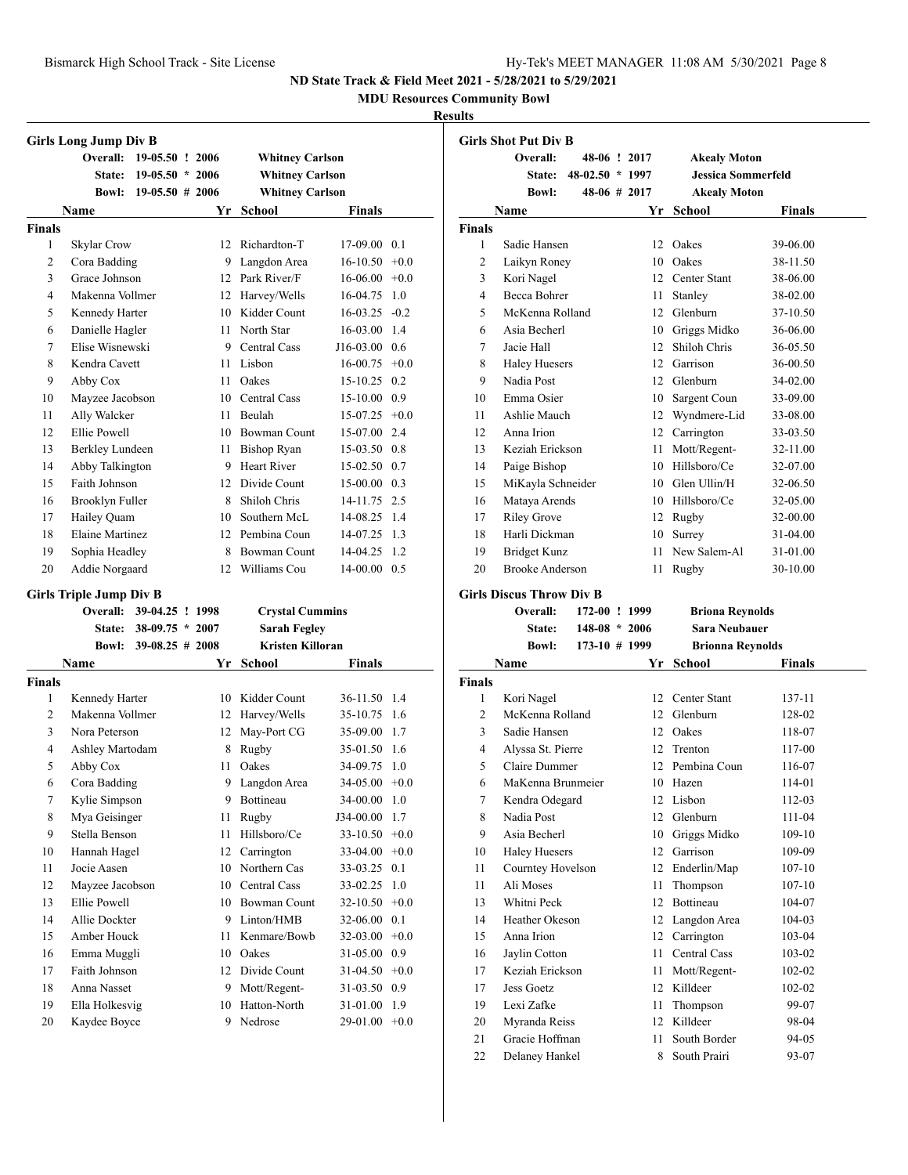**MDU Resources Community Bowl**

#### **Results**

|                | <b>Girls Long Jump Div B</b>          |                    |      |                         |                 |        |
|----------------|---------------------------------------|--------------------|------|-------------------------|-----------------|--------|
|                | Overall:                              | 19-05.50 ! 2006    |      | <b>Whitney Carlson</b>  |                 |        |
|                | <b>State:</b>                         | $19-05.50 * 2006$  |      | <b>Whitney Carlson</b>  |                 |        |
|                | Bowl:                                 | $19-05.50 \# 2006$ |      | <b>Whitney Carlson</b>  |                 |        |
|                | Name                                  |                    |      | Yr School               | <b>Finals</b>   |        |
| <b>Finals</b>  |                                       |                    |      |                         |                 |        |
| 1              | Skylar Crow                           |                    | 12   | Richardton-T            | 17-09.00        | 0.1    |
| 2              | Cora Badding                          |                    | 9.   | Langdon Area            | 16-10.50        | $+0.0$ |
| 3              | Grace Johnson                         |                    |      | 12 Park River/F         | 16-06.00        | $+0.0$ |
| $\overline{4}$ | Makenna Vollmer                       |                    |      | 12 Harvey/Wells         | 16-04.75        | 1.0    |
| 5              | Kennedy Harter                        |                    | 10   | Kidder Count            | $16-03.25 -0.2$ |        |
| 6              | Danielle Hagler                       |                    | 11   | North Star              | 16-03.00 1.4    |        |
| 7              | Elise Wisnewski                       |                    |      | 9 Central Cass          | $J16-03.00$ 0.6 |        |
| 8              | Kendra Cavett                         |                    |      | 11 Lisbon               | $16-00.75$ +0.0 |        |
| 9              | Abby Cox                              |                    | 11.  | Oakes                   | 15-10.25        | 0.2    |
| 10             | Mayzee Jacobson                       |                    |      | 10 Central Cass         | 15-10.00        | 0.9    |
| 11             | Ally Walcker                          |                    | 11   | Beulah                  | $15-07.25 +0.0$ |        |
| 12             | <b>Ellie Powell</b>                   |                    |      | 10 Bowman Count         | 15-07.00 2.4    |        |
| 13             | Berkley Lundeen                       |                    | 11   | <b>Bishop Ryan</b>      | $15-03.50$ 0.8  |        |
| 14             | Abby Talkington                       |                    | 9.   | <b>Heart River</b>      | 15-02.50        | 0.7    |
| 15             | Faith Johnson                         |                    |      | 12 Divide Count         | 15-00.00        | 0.3    |
| 16             |                                       |                    | 8    | Shiloh Chris            | 14-11.75 2.5    |        |
|                | Brooklyn Fuller                       |                    |      | Southern McL            | 14-08.25 1.4    |        |
| 17<br>18       | Hailey Quam<br><b>Elaine Martinez</b> |                    | 10   | 12 Pembina Coun         | 14-07.25 1.3    |        |
|                |                                       |                    |      |                         |                 |        |
| 19             | Sophia Headley                        |                    |      | 8 Bowman Count          | 14-04.25        | 1.2    |
| 20             | Addie Norgaard                        |                    | 12   | Williams Cou            | $14-00.00$ 0.5  |        |
|                |                                       |                    |      |                         |                 |        |
|                | <b>Girls Triple Jump Div B</b>        |                    |      |                         |                 |        |
|                | Overall:                              | 39-04.25 ! 1998    |      | <b>Crystal Cummins</b>  |                 |        |
|                | State:                                | $38-09.75$ *       | 2007 | <b>Sarah Fegley</b>     |                 |        |
|                | <b>Bowl:</b>                          | $39-08.25 \# 2008$ |      | <b>Kristen Killoran</b> |                 |        |
|                | Name                                  |                    |      | Yr School               | Finals          |        |
| <b>Finals</b>  |                                       |                    |      |                         |                 |        |
| 1              | Kennedy Harter                        |                    |      | 10 Kidder Count         | 36-11.50        | 1.4    |
| $\overline{c}$ | Makenna Vollmer                       |                    |      | 12 Harvey/Wells         | 35-10.75        | 1.6    |
| 3              | Nora Peterson                         |                    | 12   | May-Port CG             | 35-09.00        | 1.7    |
| $\overline{4}$ | Ashley Martodam                       |                    | 8    | Rugby                   | 35-01.50 1.6    |        |
| 5              | Abby Cox                              |                    | 11   | Oakes                   | 34-09.75        | 1.0    |
| 6              | Cora Badding                          |                    | 9    | Langdon Area            | 34-05.00        | $+0.0$ |
| 7              | Kylie Simpson                         |                    | 9.   | Bottineau               | 34-00.00        | 1.0    |
| 8              | Mya Geisinger                         |                    | 11   | Rugby                   | J34-00.00       | 1.7    |
| 9              | Stella Benson                         |                    | 11   | Hillsboro/Ce            | 33-10.50        | $+0.0$ |
| 10             | Hannah Hagel                          |                    | 12   | Carrington              | 33-04.00        | $+0.0$ |
| 11             | Jocie Aasen                           |                    | 10   | Northern Cas            | 33-03.25        | 0.1    |
| 12             | Mayzee Jacobson                       |                    | 10   | <b>Central Cass</b>     | 33-02.25        | 1.0    |
| 13             | <b>Ellie Powell</b>                   |                    | 10   | <b>Bowman Count</b>     | 32-10.50        | $+0.0$ |
| 14             | Allie Dockter                         |                    | 9    | Linton/HMB              | 32-06.00        | 0.1    |
| 15             | Amber Houck                           |                    | 11   | Kenmare/Bowb            | 32-03.00        | $+0.0$ |
| 16             | Emma Muggli                           |                    | 10   | Oakes                   | 31-05.00        | 0.9    |
| 17             | Faith Johnson                         |                    | 12   | Divide Count            | 31-04.50        | $+0.0$ |
| 18             | Anna Nasset                           |                    | 9.   | Mott/Regent-            | 31-03.50        | 0.9    |
| 19             | Ella Holkesvig                        |                    | 10   | Hatton-North            | 31-01.00        | 1.9    |

|                | <b>Girls Shot Put Div B</b>     |                 |    |                           |            |
|----------------|---------------------------------|-----------------|----|---------------------------|------------|
|                | Overall:                        | 48-06 ! 2017    |    | <b>Akealy Moton</b>       |            |
|                | State:                          | 48-02.50 * 1997 |    | <b>Jessica Sommerfeld</b> |            |
|                | <b>Bowl:</b>                    | 48-06 # 2017    |    | <b>Akealy Moton</b>       |            |
|                | Name                            |                 |    | Yr School                 | Finals     |
| Finals         |                                 |                 |    |                           |            |
| 1              | Sadie Hansen                    |                 |    | 12 Oakes                  | 39-06.00   |
| $\overline{c}$ | Laikyn Roney                    |                 |    | 10 Oakes                  | 38-11.50   |
| 3              | Kori Nagel                      |                 |    | 12 Center Stant           | 38-06.00   |
| $\overline{4}$ | <b>Becca Bohrer</b>             |                 |    | 11 Stanley                | 38-02.00   |
| 5              | McKenna Rolland                 |                 |    | 12 Glenburn               | 37-10.50   |
| 6              | Asia Becherl                    |                 |    | 10 Griggs Midko           | 36-06.00   |
| 7              | Jacie Hall                      |                 |    | 12 Shiloh Chris           | 36-05.50   |
| 8              | <b>Haley Huesers</b>            |                 |    | 12 Garrison               | 36-00.50   |
| 9              | Nadia Post                      |                 |    | 12 Glenburn               | 34-02.00   |
| 10             | Emma Osier                      |                 |    | 10 Sargent Coun           | 33-09.00   |
| 11             | Ashlie Mauch                    |                 |    | 12 Wyndmere-Lid           | 33-08.00   |
| 12             | Anna Irion                      |                 |    | 12 Carrington             | 33-03.50   |
| 13             | Keziah Erickson                 |                 |    | 11 Mott/Regent-           | 32-11.00   |
| 14             | Paige Bishop                    |                 |    | 10 Hillsboro/Ce           | 32-07.00   |
| 15             | MiKayla Schneider               |                 |    | 10 Glen Ullin/H           | 32-06.50   |
| 16             | Mataya Arends                   |                 |    | 10 Hillsboro/Ce           | 32-05.00   |
| 17             | <b>Riley Grove</b>              |                 |    | 12 Rugby                  | 32-00.00   |
| 18             | Harli Dickman                   |                 | 10 | Surrey                    | 31-04.00   |
| 19             | <b>Bridget Kunz</b>             |                 | 11 | New Salem-Al              | 31-01.00   |
| 20             | <b>Brooke Anderson</b>          |                 | 11 | Rugby                     | 30-10.00   |
|                | <b>Girls Discus Throw Div B</b> |                 |    |                           |            |
|                | Overall:                        | 172-00 ! 1999   |    | <b>Briona Reynolds</b>    |            |
|                | State:                          | $148-08 * 2006$ |    | <b>Sara Neubauer</b>      |            |
|                | <b>Bowl:</b>                    | $173-10$ # 1999 |    | <b>Brionna Reynolds</b>   |            |
|                | Name                            |                 |    | Yr School                 | Finals     |
| <b>Finals</b>  |                                 |                 |    |                           |            |
| $\mathbf{1}$   | Kori Nagel                      |                 |    | 12 Center Stant           | 137-11     |
| $\overline{c}$ | McKenna Rolland                 |                 |    | 12 Glenburn               | 128-02     |
| 3              | Sadie Hansen                    |                 |    | 12 Oakes                  | 118-07     |
| 4              | Alyssa St. Pierre               |                 |    | 12 Trenton                | 117-00     |
| 5              | Claire Dummer                   |                 |    | 12 Pembina Coun           | 116-07     |
| 6              | MaKenna Brunmeier               |                 |    | 10 Hazen                  | 114-01     |
| 7              | Kendra Odegard                  |                 |    | 12 Lisbon                 | 112-03     |
| 8              | Nadia Post                      |                 |    | 12 Glenburn               | 111-04     |
| 9              | Asia Becherl                    |                 |    | 10 Griggs Midko           | 109-10     |
| 10             | <b>Haley Huesers</b>            |                 |    | 12 Garrison               | 109-09     |
| 11             | Courntey Hovelson               |                 |    | 12 Enderlin/Map           | $107 - 10$ |
| 11             | Ali Moses                       |                 | 11 | Thompson                  | $107 - 10$ |

 Whitni Peck 12 Bottineau 104-07 Heather Okeson 12 Langdon Area 104-03 Anna Irion 12 Carrington 103-04 Jaylin Cotton 11 Central Cass 103-02 Keziah Erickson 11 Mott/Regent- 102-02 Jess Goetz 12 Killdeer 102-02 Lexi Zafke 11 Thompson 99-07 Myranda Reiss 12 Killdeer 98-04 21 Gracie Hoffman 11 South Border 94-05 22 Delaney Hankel 8 South Prairi 93-07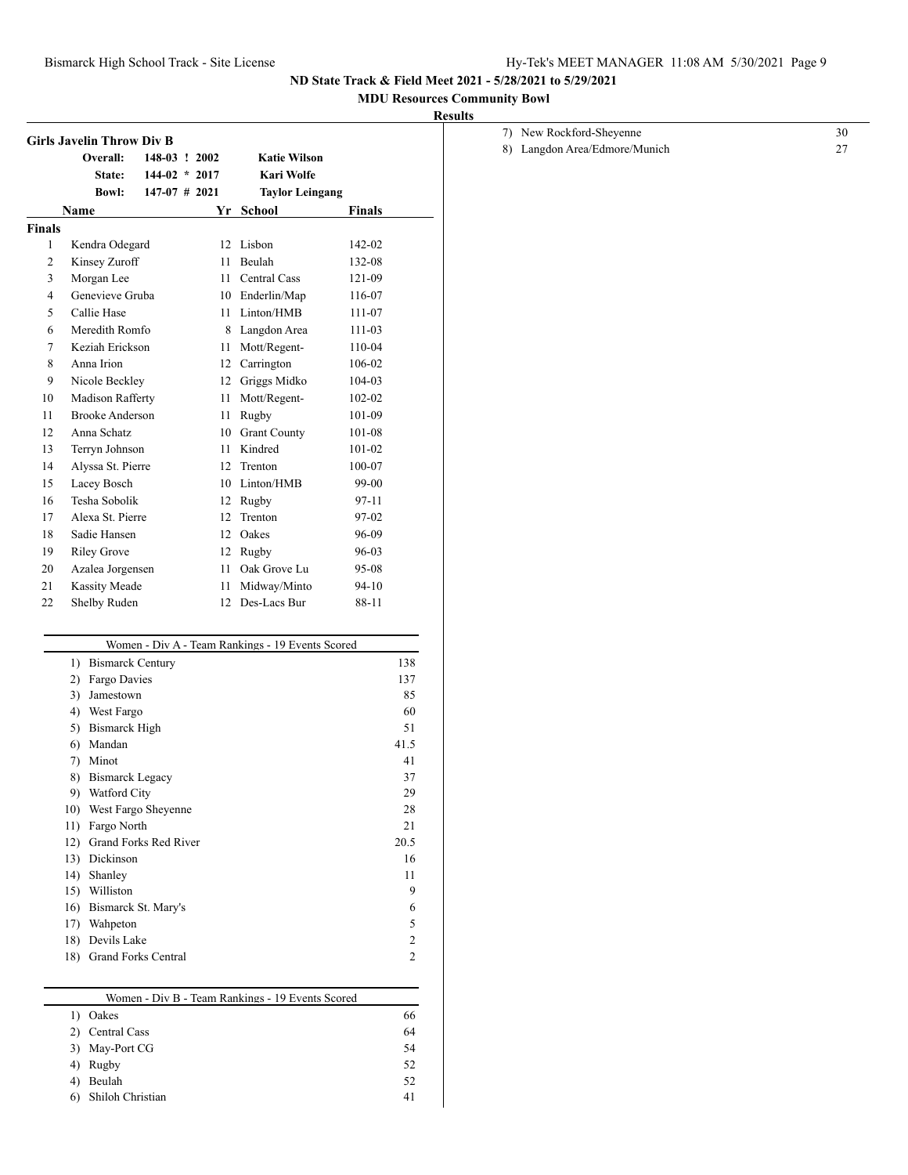## **MDU Resources Community Bowl**

|                | Overall:               | 148-03 ! 2002   |    | <b>Katie Wilson</b>                              |            |
|----------------|------------------------|-----------------|----|--------------------------------------------------|------------|
|                | State:                 | $144-02 * 2017$ |    | Kari Wolfe                                       |            |
|                | <b>Bowl:</b>           | $147-07$ # 2021 |    | <b>Taylor Leingang</b>                           |            |
|                | <b>Name</b>            |                 | Yr | School                                           | Finals     |
| <b>Finals</b>  |                        |                 |    |                                                  |            |
| 1              | Kendra Odegard         |                 | 12 | Lisbon                                           | 142-02     |
| $\overline{2}$ | Kinsey Zuroff          |                 | 11 | Beulah                                           | 132-08     |
| 3              | Morgan Lee             |                 |    | 11 Central Cass                                  | 121-09     |
| $\overline{4}$ | Genevieve Gruba        |                 |    | 10 Enderlin/Map                                  | 116-07     |
| 5              | Callie Hase            |                 | 11 | Linton/HMB                                       | 111-07     |
| 6              | Meredith Romfo         |                 | 8  | Langdon Area                                     | 111-03     |
| 7              | Keziah Erickson        |                 | 11 | Mott/Regent-                                     | 110-04     |
| 8              | Anna Irion             |                 |    | 12 Carrington                                    | 106-02     |
| 9              | Nicole Beckley         |                 | 12 | Griggs Midko                                     | 104-03     |
| 10             | Madison Rafferty       |                 | 11 | Mott/Regent-                                     | $102 - 02$ |
| 11             | <b>Brooke Anderson</b> |                 | 11 | Rugby                                            | 101-09     |
| 12             | Anna Schatz            |                 | 10 | <b>Grant County</b>                              | 101-08     |
| 13             | Terryn Johnson         |                 | 11 | Kindred                                          | $101 - 02$ |
| 14             | Alyssa St. Pierre      |                 | 12 | Trenton                                          | 100-07     |
| 15             | Lacey Bosch            |                 | 10 | Linton/HMB                                       | 99-00      |
| 16             | Tesha Sobolik          |                 | 12 | Rugby                                            | 97-11      |
| 17             | Alexa St. Pierre       |                 | 12 | Trenton                                          | 97-02      |
| 18             | Sadie Hansen           |                 | 12 | Oakes                                            | 96-09      |
| 19             | <b>Riley Grove</b>     |                 | 12 | Rugby                                            | 96-03      |
| 20             | Azalea Jorgensen       |                 | 11 | Oak Grove Lu                                     | 95-08      |
| 21             | <b>Kassity Meade</b>   |                 | 11 | Midway/Minto                                     | $94 - 10$  |
| 22             | Shelby Ruden           |                 | 12 | Des-Lacs Bur                                     | 88-11      |
|                |                        |                 |    | Women - Div A - Team Rankings - 19 Events Scored |            |
|                | 1) Bismarck Century    |                 |    |                                                  |            |

|                  | ,, 0111011<br><b>DIVIL</b><br>TAMIT TAMITTITES<br>17.1 |                |
|------------------|--------------------------------------------------------|----------------|
| $\left( \right)$ | <b>Bismarck Century</b>                                | 138            |
| 2)               | Fargo Davies                                           | 137            |
| 3)               | Jamestown                                              | 85             |
| 4)               | West Fargo                                             | 60             |
| 5)               | <b>Bismarck High</b>                                   | 51             |
| 6)               | Mandan                                                 | 41.5           |
| 7)               | Minot                                                  | 41             |
| 8)               | <b>Bismarck Legacy</b>                                 | 37             |
| 9)               | Watford City                                           | 29             |
| 10)              | West Fargo Sheyenne                                    | 28             |
| 11)              | Fargo North                                            | 21             |
| 12)              | Grand Forks Red River                                  | 20.5           |
| 13)              | Dickinson                                              | 16             |
| 14)              | Shanley                                                | 11             |
| 15)              | Williston                                              | 9              |
| 16)              | Bismarck St. Mary's                                    | 6              |
| 17)              | Wahpeton                                               | 5              |
| 18)              | Devils Lake                                            | $\overline{c}$ |
| 18)              | <b>Grand Forks Central</b>                             | $\overline{c}$ |
|                  |                                                        |                |

| Women - Div B - Team Rankings - 19 Events Scored |    |
|--------------------------------------------------|----|
| Oakes                                            | 66 |
| Central Cass                                     | 64 |
| May-Port CG                                      | 54 |
| Rugby                                            | 52 |
| Beulah                                           | 52 |
| Shiloh Christian                                 | 41 |
|                                                  |    |

| 7) New Rockford-Sheyenne      |  |
|-------------------------------|--|
| 8) Langdon Area/Edmore/Munich |  |